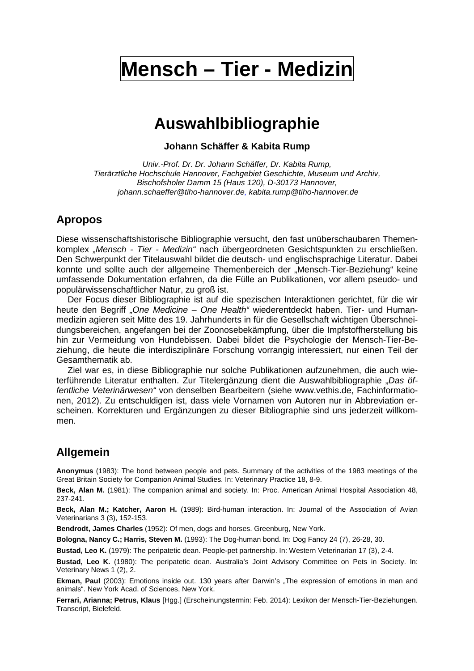# **Mensch – Tier - Medizin**

## **Auswahlbibliographie**

**Johann Schäffer & Kabita Rump** 

Univ.-Prof. Dr. Dr. Johann Schäffer, Dr. Kabita Rump, Tierärztliche Hochschule Hannover, Fachgebiet Geschichte, Museum und Archiv, Bischofsholer Damm 15 (Haus 120), D-30173 Hannover, johann.schaeffer@tiho-hannover.de, kabita.rump@tiho-hannover.de

### **Apropos**

Diese wissenschaftshistorische Bibliographie versucht, den fast unüberschaubaren Themenkomplex "Mensch - Tier - Medizin" nach übergeordneten Gesichtspunkten zu erschließen. Den Schwerpunkt der Titelauswahl bildet die deutsch- und englischsprachige Literatur. Dabei konnte und sollte auch der allgemeine Themenbereich der "Mensch-Tier-Beziehung" keine umfassende Dokumentation erfahren, da die Fülle an Publikationen, vor allem pseudo- und populärwissenschaftlicher Natur, zu groß ist.

Der Focus dieser Bibliographie ist auf die spezischen Interaktionen gerichtet, für die wir heute den Begriff "One Medicine – One Health" wiederentdeckt haben. Tier- und Humanmedizin agieren seit Mitte des 19. Jahrhunderts in für die Gesellschaft wichtigen Überschneidungsbereichen, angefangen bei der Zoonosebekämpfung, über die Impfstoffherstellung bis hin zur Vermeidung von Hundebissen. Dabei bildet die Psychologie der Mensch-Tier-Beziehung, die heute die interdisziplinäre Forschung vorrangig interessiert, nur einen Teil der Gesamthematik ab.

Ziel war es, in diese Bibliographie nur solche Publikationen aufzunehmen, die auch wieterführende Literatur enthalten. Zur Titelergänzung dient die Auswahlbibliographie "Das öffentliche Veterinärwesen" von denselben Bearbeitern (siehe www.vethis.de, Fachinformationen, 2012). Zu entschuldigen ist, dass viele Vornamen von Autoren nur in Abbreviation erscheinen. Korrekturen und Ergänzungen zu dieser Bibliographie sind uns jederzeit willkommen.

### **Allgemein**

**Anonymus** (1983): The bond between people and pets. Summary of the activities of the 1983 meetings of the Great Britain Society for Companion Animal Studies. In: Veterinary Practice 18, 8-9.

**Beck, Alan M.** (1981): The companion animal and society. In: Proc. American Animal Hospital Association 48, 237-241.

**Beck, Alan M.; Katcher, Aaron H.** (1989): Bird-human interaction. In: Journal of the Association of Avian Veterinarians 3 (3), 152-153.

**Bendrodt, James Charles** (1952): Of men, dogs and horses. Greenburg, New York.

**Bologna, Nancy C.; Harris, Steven M.** (1993): The Dog-human bond. In: Dog Fancy 24 (7), 26-28, 30.

**Bustad, Leo K.** (1979): The peripatetic dean. People-pet partnership. In: Western Veterinarian 17 (3), 2-4.

**Bustad, Leo K.** (1980): The peripatetic dean. Australia's Joint Advisory Committee on Pets in Society. In: Veterinary News 1 (2), 2.

**Ekman, Paul** (2003): Emotions inside out. 130 years after Darwin's . The expression of emotions in man and animals". New York Acad. of Sciences, New York.

**Ferrari, Arianna; Petrus, Klaus** [Hgg.] (Erscheinungstermin: Feb. 2014): Lexikon der Mensch-Tier-Beziehungen. Transcript, Bielefeld.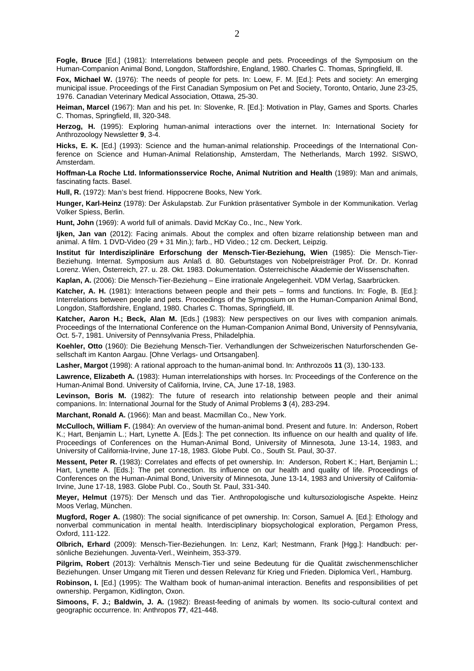**Fogle, Bruce** [Ed.] (1981): Interrelations between people and pets. Proceedings of the Symposium on the Human-Companion Animal Bond, Longdon, Staffordshire, England, 1980. Charles C. Thomas, Springfield, Ill.

**Fox, Michael W.** (1976): The needs of people for pets. In: Loew, F. M. [Ed.]: Pets and society: An emerging municipal issue. Proceedings of the First Canadian Symposium on Pet and Society, Toronto, Ontario, June 23-25, 1976. Canadian Veterinary Medical Association, Ottawa, 25-30.

**Heiman, Marcel** (1967): Man and his pet. In: Slovenke, R. [Ed.]: Motivation in Play, Games and Sports. Charles C. Thomas, Springfield, Ill, 320-348.

**Herzog, H.** (1995): Exploring human-animal interactions over the internet. In: International Society for Anthrozoology Newsletter **9**, 3-4.

**Hicks, E. K.** [Ed.] (1993): Science and the human-animal relationship. Proceedings of the International Conference on Science and Human-Animal Relationship, Amsterdam, The Netherlands, March 1992. SISWO, Amsterdam.

**Hoffman-La Roche Ltd. Informationsservice Roche, Animal Nutrition and Health** (1989): Man and animals, fascinating facts. Basel.

**Hull, R.** (1972): Man's best friend. Hippocrene Books, New York.

**Hunger, Karl-Heinz** (1978): Der Äskulapstab. Zur Funktion präsentativer Symbole in der Kommunikation. Verlag Volker Spiess, Berlin.

**Hunt, John** (1969): A world full of animals. David McKay Co., Inc., New York.

**Ijken, Jan van** (2012): Facing animals. About the complex and often bizarre relationship between man and animal. A film. 1 DVD-Video (29 + 31 Min.); farb., HD Video.; 12 cm. Deckert, Leipzig.

**Institut für Interdisziplinäre Erforschung der Mensch-Tier-Beziehung, Wien** (1985): Die Mensch-Tier-Beziehung. Internat. Symposium aus Anlaß d. 80. Geburtstages von Nobelpreisträger Prof. Dr. Dr. Konrad Lorenz. Wien, Österreich, 27. u. 28. Okt. 1983. Dokumentation. Österreichische Akademie der Wissenschaften.

**Kaplan, A.** (2006): Die Mensch-Tier-Beziehung – Eine irrationale Angelegenheit. VDM Verlag, Saarbrücken.

**Katcher, A. H.** (1981): Interactions between people and their pets – forms and functions. In: Fogle, B. [Ed.]: Interrelations between people and pets. Proceedings of the Symposium on the Human-Companion Animal Bond, Longdon, Staffordshire, England, 1980. Charles C. Thomas, Springfield, Ill.

**Katcher, Aaron H.; Beck, Alan M.** [Eds.] (1983): New perspectives on our lives with companion animals. Proceedings of the International Conference on the Human-Companion Animal Bond, University of Pennsylvania, Oct. 5-7, 1981. University of Pennsylvania Press, Philadelphia.

**Koehler, Otto** (1960): Die Beziehung Mensch-Tier. Verhandlungen der Schweizerischen Naturforschenden Gesellschaft im Kanton Aargau. [Ohne Verlags- und Ortsangaben].

**Lasher, Margot** (1998): A rational approach to the human-animal bond. In: Anthrozoös **11** (3), 130-133.

**Lawrence, Elizabeth A.** (1983): Human interrelationships with horses. In: Proceedings of the Conference on the Human-Animal Bond. University of California, Irvine, CA, June 17-18, 1983.

**Levinson, Boris M.** (1982): The future of research into relationship between people and their animal companions. In: International Journal for the Study of Animal Problems **3** (4), 283-294.

**Marchant, Ronald A.** (1966): Man and beast. Macmillan Co., New York.

**McCulloch, William F.** (1984): An overview of the human-animal bond. Present and future. In: Anderson, Robert K.; Hart, Benjamin L.; Hart, Lynette A. [Eds.]: The pet connection. Its influence on our health and quality of life. Proceedings of Conferences on the Human-Animal Bond, University of Minnesota, June 13-14, 1983, and University of California-Irvine, June 17-18, 1983. Globe Publ. Co., South St. Paul, 30-37.

**Messent, Peter R.** (1983): Correlates and effects of pet ownership. In: Anderson, Robert K.; Hart, Benjamin L.; Hart, Lynette A. [Eds.]: The pet connection. Its influence on our health and quality of life. Proceedings of Conferences on the Human-Animal Bond, University of Minnesota, June 13-14, 1983 and University of California-Irvine, June 17-18, 1983. Globe Publ. Co., South St. Paul, 331-340.

**Meyer, Helmut** (1975): Der Mensch und das Tier. Anthropologische und kultursoziologische Aspekte. Heinz Moos Verlag, München.

**Mugford, Roger A.** (1980): The social significance of pet ownership. In: Corson, Samuel A. [Ed.]: Ethology and nonverbal communication in mental health. Interdisciplinary biopsychological exploration, Pergamon Press, Oxford, 111-122.

**Olbrich, Erhard** (2009): Mensch-Tier-Beziehungen. In: Lenz, Karl; Nestmann, Frank [Hgg.]: Handbuch: persönliche Beziehungen. Juventa-Verl., Weinheim, 353-379.

**Pilgrim, Robert** (2013): Verhältnis Mensch-Tier und seine Bedeutung für die Qualität zwischenmenschlicher Beziehungen. Unser Umgang mit Tieren und dessen Relevanz für Krieg und Frieden. Diplomica Verl., Hamburg.

**Robinson, I.** [Ed.] (1995): The Waltham book of human-animal interaction. Benefits and responsibilities of pet ownership. Pergamon, Kidlington, Oxon.

**Simoons, F. J.; Baldwin, J. A.** (1982): Breast-feeding of animals by women. Its socio-cultural context and geographic occurrence. In: Anthropos **77**, 421-448.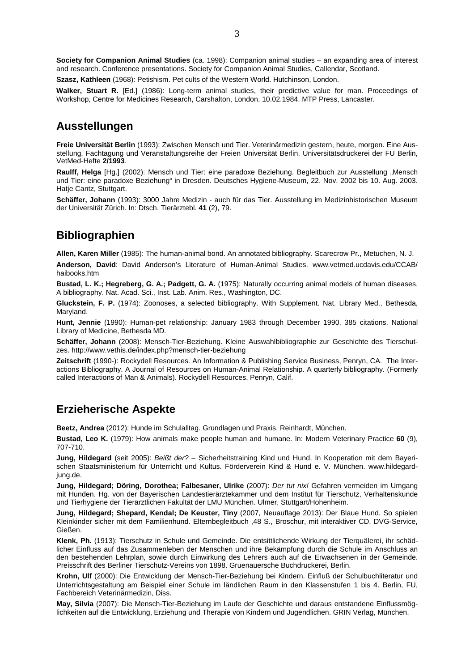**Society for Companion Animal Studies** (ca. 1998): Companion animal studies – an expanding area of interest and research. Conference presentations. Society for Companion Animal Studies, Callendar, Scotland.

**Szasz, Kathleen** (1968): Petishism. Pet cults of the Western World. Hutchinson, London.

**Walker, Stuart R.** [Ed.] (1986): Long-term animal studies, their predictive value for man. Proceedings of Workshop, Centre for Medicines Research, Carshalton, London, 10.02.1984. MTP Press, Lancaster.

#### **Ausstellungen**

**Freie Universität Berlin** (1993): Zwischen Mensch und Tier. Veterinärmedizin gestern, heute, morgen. Eine Ausstellung, Fachtagung und Veranstaltungsreihe der Freien Universität Berlin. Universitätsdruckerei der FU Berlin, VetMed-Hefte **2/1993**.

**Raulff, Helga** [Hg.] (2002): Mensch und Tier: eine paradoxe Beziehung. Begleitbuch zur Ausstellung "Mensch und Tier: eine paradoxe Beziehung" in Dresden. Deutsches Hygiene-Museum, 22. Nov. 2002 bis 10. Aug. 2003. Hatie Cantz, Stuttgart.

**Schäffer, Johann** (1993): 3000 Jahre Medizin - auch für das Tier. Ausstellung im Medizinhistorischen Museum der Universität Zürich. In: Dtsch. Tierärztebl. **41** (2), 79.

#### **Bibliographien**

**Allen, Karen Miller** (1985): The human-animal bond. An annotated bibliography. Scarecrow Pr., Metuchen, N. J.

**Anderson, David**: David Anderson's Literature of Human-Animal Studies. www.vetmed.ucdavis.edu/CCAB/ haibooks.htm

**Bustad, L. K.; Hegreberg, G. A.; Padgett, G. A.** (1975): Naturally occurring animal models of human diseases. A bibliography. Nat. Acad. Sci., Inst. Lab. Anim. Res., Washington, DC.

**Gluckstein, F. P.** (1974): Zoonoses, a selected bibliography. With Supplement. Nat. Library Med., Bethesda, Maryland.

**Hunt, Jennie** (1990): Human-pet relationship: January 1983 through December 1990. 385 citations. National Library of Medicine, Bethesda MD.

**Schäffer, Johann** (2008): Mensch-Tier-Beziehung. Kleine Auswahlbibliographie zur Geschichte des Tierschutzes. http://www.vethis.de/index.php?mensch-tier-beziehung

**Zeitschrift** (1990-): Rockydell Resources. An Information & Publishing Service Business, Penryn, CA. The Interactions Bibliography. A Journal of Resources on Human-Animal Relationship. A quarterly bibliography. (Formerly called Interactions of Man & Animals). Rockydell Resources, Penryn, Calif.

#### **Erzieherische Aspekte**

**Beetz, Andrea** (2012): Hunde im Schulalltag. Grundlagen und Praxis. Reinhardt, München.

**Bustad, Leo K.** (1979): How animals make people human and humane. In: Modern Veterinary Practice **60** (9), 707-710.

**Jung, Hildegard** (seit 2005): Beißt der? – Sicherheitstraining Kind und Hund. In Kooperation mit dem Bayerischen Staatsministerium für Unterricht und Kultus. Förderverein Kind & Hund e. V. München. www.hildegardjung.de.

**Jung, Hildegard; Döring, Dorothea; Falbesaner, Ulrike** (2007): Der tut nix! Gefahren vermeiden im Umgang mit Hunden. Hg. von der Bayerischen Landestierärztekammer und dem Institut für Tierschutz, Verhaltenskunde und Tierhygiene der Tierärztlichen Fakultät der LMU München. Ulmer, Stuttgart/Hohenheim.

**Jung, Hildegard; Shepard, Kendal; De Keuster, Tiny** (2007, Neuauflage 2013): Der Blaue Hund. So spielen Kleinkinder sicher mit dem Familienhund. Elternbegleitbuch ,48 S., Broschur, mit interaktiver CD. DVG-Service, Gießen.

**Klenk, Ph.** (1913): Tierschutz in Schule und Gemeinde. Die entsittlichende Wirkung der Tierquälerei, ihr schädlicher Einfluss auf das Zusammenleben der Menschen und ihre Bekämpfung durch die Schule im Anschluss an den bestehenden Lehrplan, sowie durch Einwirkung des Lehrers auch auf die Erwachsenen in der Gemeinde. Preisschrift des Berliner Tierschutz-Vereins von 1898. Gruenauersche Buchdruckerei, Berlin.

**Krohn, Ulf** (2000): Die Entwicklung der Mensch-Tier-Beziehung bei Kindern. Einfluß der Schulbuchliteratur und Unterrichtsgestaltung am Beispiel einer Schule im ländlichen Raum in den Klassenstufen 1 bis 4. Berlin, FU, Fachbereich Veterinärmedizin, Diss.

**May, Silvia** (2007): Die Mensch-Tier-Beziehung im Laufe der Geschichte und daraus entstandene Einflussmöglichkeiten auf die Entwicklung, Erziehung und Therapie von Kindern und Jugendlichen. GRIN Verlag, München.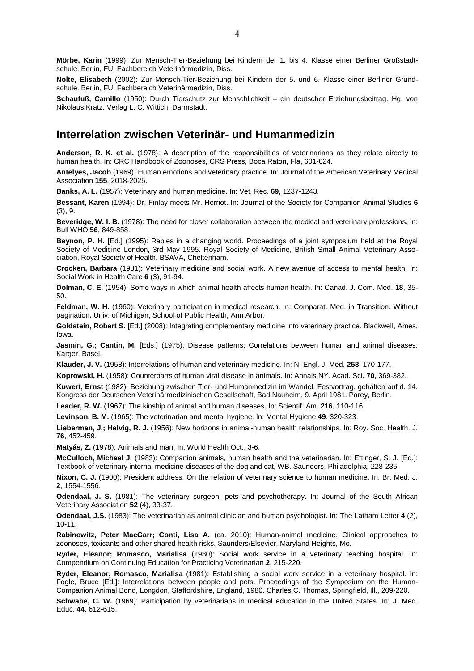**Mörbe, Karin** (1999): Zur Mensch-Tier-Beziehung bei Kindern der 1. bis 4. Klasse einer Berliner Großstadtschule. Berlin, FU, Fachbereich Veterinärmedizin, Diss.

**Nolte, Elisabeth** (2002): Zur Mensch-Tier-Beziehung bei Kindern der 5. und 6. Klasse einer Berliner Grundschule. Berlin, FU, Fachbereich Veterinärmedizin, Diss.

**Schaufuß, Camillo** (1950): Durch Tierschutz zur Menschlichkeit – ein deutscher Erziehungsbeitrag. Hg. von Nikolaus Kratz. Verlag L. C. Wittich, Darmstadt.

#### **Interrelation zwischen Veterinär- und Humanmedizin**

**Anderson, R. K. et al.** (1978): A description of the responsibilities of veterinarians as they relate directly to human health. In: CRC Handbook of Zoonoses, CRS Press, Boca Raton, Fla, 601-624.

**Antelyes, Jacob** (1969): Human emotions and veterinary practice. In: Journal of the American Veterinary Medical Association **155**, 2018-2025.

**Banks, A. L.** (1957): Veterinary and human medicine. In: Vet. Rec. **69**, 1237-1243.

**Bessant, Karen** (1994): Dr. Finlay meets Mr. Herriot. In: Journal of the Society for Companion Animal Studies **6** (3), 9.

**Beveridge, W. I. B.** (1978): The need for closer collaboration between the medical and veterinary professions. In: Bull WHO **56**, 849-858.

**Beynon, P. H.** [Ed.] (1995): Rabies in a changing world. Proceedings of a joint symposium held at the Royal Society of Medicine London, 3rd May 1995. Royal Society of Medicine, British Small Animal Veterinary Association, Royal Society of Health. BSAVA, Cheltenham.

**Crocken, Barbara** (1981): Veterinary medicine and social work. A new avenue of access to mental health. In: Social Work in Health Care **6** (3), 91-94.

**Dolman, C. E.** (1954): Some ways in which animal health affects human health. In: Canad. J. Com. Med. **18**, 35- 50.

**Feldman, W. H.** (1960): Veterinary participation in medical research. In: Comparat. Med. in Transition. Without pagination**.** Univ. of Michigan, School of Public Health, Ann Arbor.

**Goldstein, Robert S.** [Ed.] (2008): Integrating complementary medicine into veterinary practice. Blackwell, Ames, Iowa.

**Jasmin, G.: Cantin, M.** [Eds.] (1975): Disease patterns: Correlations between human and animal diseases. Karger, Basel.

**Klauder, J. V.** (1958): Interrelations of human and veterinary medicine. In: N. Engl. J. Med. **258**, 170-177.

**Koprowski, H.** (1958): Counterparts of human viral disease in animals. In: Annals NY. Acad. Sci. **70**, 369-382.

**Kuwert, Ernst** (1982): Beziehung zwischen Tier- und Humanmedizin im Wandel. Festvortrag, gehalten auf d. 14. Kongress der Deutschen Veterinärmedizinischen Gesellschaft, Bad Nauheim, 9. April 1981. Parey, Berlin.

**Leader, R. W.** (1967): The kinship of animal and human diseases. In: Scientif. Am. **216**, 110-116.

**Levinson, B. M.** (1965): The veterinarian and mental hygiene. In: Mental Hygiene **49**, 320-323.

**Lieberman, J.; Helvig, R. J.** (1956): New horizons in animal-human health relationships. In: Roy. Soc. Health. J. **76**, 452-459.

**Matyás, Z.** (1978): Animals and man. In: World Health Oct., 3-6.

**McCulloch, Michael J.** (1983): Companion animals, human health and the veterinarian. In: Ettinger, S. J. [Ed.]: Textbook of veterinary internal medicine-diseases of the dog and cat, WB. Saunders, Philadelphia, 228-235.

**Nixon, C. J.** (1900): President address: On the relation of veterinary science to human medicine. In: Br. Med. J. **2**, 1554-1556.

**Odendaal, J. S.** (1981): The veterinary surgeon, pets and psychotherapy. In: Journal of the South African Veterinary Association **52** (4), 33-37.

**Odendaal, J.S.** (1983): The veterinarian as animal clinician and human psychologist. In: The Latham Letter **4** (2), 10-11.

**Rabinowitz, Peter MacGarr; Conti, Lisa A.** (ca. 2010): Human-animal medicine. Clinical approaches to zoonoses, toxicants and other shared health risks. Saunders/Elsevier, Maryland Heights, Mo.

**Ryder, Eleanor; Romasco, Marialisa** (1980): Social work service in a veterinary teaching hospital. In: Compendium on Continuing Education for Practicing Veterinarian **2**, 215-220.

**Ryder, Eleanor; Romasco, Marialisa** (1981): Establishing a social work service in a veterinary hospital. In: Fogle, Bruce [Ed.]: Interrelations between people and pets. Proceedings of the Symposium on the Human-Companion Animal Bond, Longdon, Staffordshire, England, 1980. Charles C. Thomas, Springfield, Ill., 209-220.

**Schwabe, C. W.** (1969): Participation by veterinarians in medical education in the United States. In: J. Med. Educ. **44**, 612-615.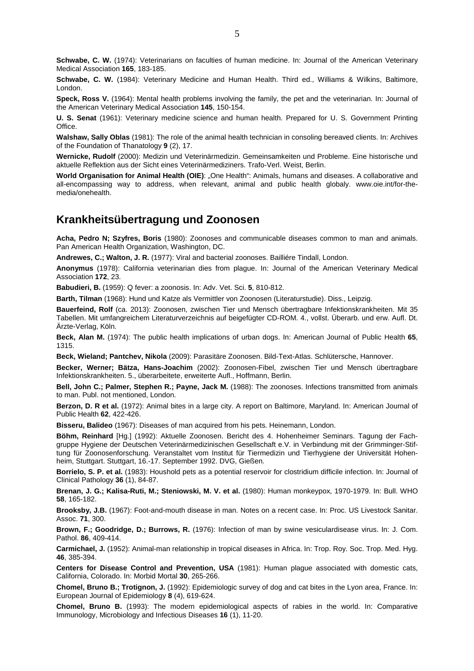**Schwabe, C. W.** (1974): Veterinarians on faculties of human medicine. In: Journal of the American Veterinary Medical Association **165**, 183-185.

**Schwabe, C. W.** (1984): Veterinary Medicine and Human Health. Third ed., Williams & Wilkins, Baltimore, London.

**Speck, Ross V.** (1964): Mental health problems involving the family, the pet and the veterinarian. In: Journal of the American Veterinary Medical Association **145**, 150-154.

**U. S. Senat** (1961): Veterinary medicine science and human health. Prepared for U. S. Government Printing Office.

**Walshaw, Sally Oblas** (1981): The role of the animal health technician in consoling bereaved clients. In: Archives of the Foundation of Thanatology **9** (2), 17.

**Wernicke, Rudolf** (2000): Medizin und Veterinärmedizin. Gemeinsamkeiten und Probleme. Eine historische und aktuelle Reflektion aus der Sicht eines Veterinärmediziners. Trafo-Verl. Weist, Berlin.

**World Organisation for Animal Health (OIE):** "One Health": Animals, humans and diseases. A collaborative and all-encompassing way to address, when relevant, animal and public health globaly. www.oie.int/for-themedia/onehealth.

#### **Krankheitsübertragung und Zoonosen**

**Acha, Pedro N; Szyfres, Boris** (1980): Zoonoses and communicable diseases common to man and animals. Pan American Health Organization, Washington, DC.

**Andrewes, C.; Walton, J. R.** (1977): Viral and bacterial zoonoses. Bailliére Tindall, London.

**Anonymus** (1978): California veterinarian dies from plague. In: Journal of the American Veterinary Medical Association **172**, 23.

**Babudieri, B.** (1959): Q fever: a zoonosis. In: Adv. Vet. Sci. **5**, 810-812.

**Barth, Tilman** (1968): Hund und Katze als Vermittler von Zoonosen (Literaturstudie). Diss., Leipzig.

**Bauerfeind, Rolf** (ca. 2013): Zoonosen, zwischen Tier und Mensch übertragbare Infektionskrankheiten. Mit 35 Tabellen. Mit umfangreichem Literaturverzeichnis auf beigefügter CD-ROM. 4., vollst. Überarb. und erw. Aufl. Dt. Ärzte-Verlag, Köln.

**Beck, Alan M.** (1974): The public health implications of urban dogs. In: American Journal of Public Health **65**, 1315.

**Beck, Wieland; Pantchev, Nikola** (2009): Parasitäre Zoonosen. Bild-Text-Atlas. Schlütersche, Hannover.

**Becker, Werner; Bätza, Hans-Joachim** (2002): Zoonosen-Fibel, zwischen Tier und Mensch übertragbare Infektionskrankheiten. 5., überarbeitete, erweiterte Aufl., Hoffmann, Berlin.

**Bell, John C.; Palmer, Stephen R.; Payne, Jack M.** (1988): The zoonoses. Infections transmitted from animals to man. Publ. not mentioned, London.

**Berzon, D. R et al.** (1972): Animal bites in a large city. A report on Baltimore, Maryland. In: American Journal of Public Health **62**, 422-426.

**Bisseru, Balideo** (1967): Diseases of man acquired from his pets. Heinemann, London.

**Böhm, Reinhard** [Hg.] (1992): Aktuelle Zoonosen. Bericht des 4. Hohenheimer Seminars. Tagung der Fachgruppe Hygiene der Deutschen Veterinärmedizinischen Gesellschaft e.V. in Verbindung mit der Grimminger-Stiftung für Zoonosenforschung. Veranstaltet vom Institut für Tiermedizin und Tierhygiene der Universität Hohenheim, Stuttgart. Stuttgart, 16.-17. September 1992. DVG, Gießen.

**Borrielo, S. P. et al.** (1983): Houshold pets as a potential reservoir for clostridium difficile infection. In: Journal of Clinical Pathology **36** (1), 84-87.

**Brenan, J. G.; Kalisa-Ruti, M.; Steniowski, M. V. et al.** (1980): Human monkeypox, 1970-1979. In: Bull. WHO **58**, 165-182.

**Brooksby, J.B.** (1967): Foot-and-mouth disease in man. Notes on a recent case. In: Proc. US Livestock Sanitar. Assoc. **71**, 300.

**Brown, F.; Goodridge, D.; Burrows, R.** (1976): Infection of man by swine vesiculardisease virus. In: J. Com. Pathol. **86**, 409-414.

**Carmichael, J.** (1952): Animal-man relationship in tropical diseases in Africa. In: Trop. Roy. Soc. Trop. Med. Hyg. **46**, 385-394.

**Centers for Disease Control and Prevention, USA** (1981): Human plague associated with domestic cats, California, Colorado. In: Morbid Mortal **30**, 265-266.

**Chomel, Bruno B.; Trotignon, J.** (1992): Epidemiologic survey of dog and cat bites in the Lyon area, France. In: European Journal of Epidemiology **8** (4), 619-624.

**Chomel, Bruno B.** (1993): The modern epidemiological aspects of rabies in the world. In: Comparative Immunology, Microbiology and Infectious Diseases **16** (1), 11-20.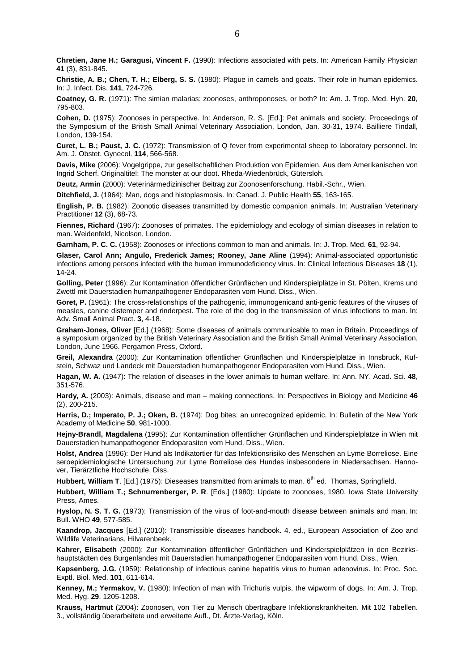**Chretien, Jane H.; Garagusi, Vincent F.** (1990): Infections associated with pets. In: American Family Physician **41** (3), 831-845.

**Christie, A. B.; Chen, T. H.; Elberg, S. S.** (1980): Plague in camels and goats. Their role in human epidemics. In: J. Infect. Dis. **141**, 724-726.

**Coatney, G. R.** (1971): The simian malarias: zoonoses, anthroponoses, or both? In: Am. J. Trop. Med. Hyh. **20**, 795-803.

**Cohen, D.** (1975): Zoonoses in perspective. In: Anderson, R. S. [Ed.]: Pet animals and society. Proceedings of the Symposium of the British Small Animal Veterinary Association, London, Jan. 30-31, 1974. Bailliere Tindall, London, 139-154.

**Curet, L. B.; Paust, J. C.** (1972): Transmission of Q fever from experimental sheep to laboratory personnel. In: Am. J. Obstet. Gynecol. **114**, 566-568.

**Davis, Mike** (2006): Vogelgrippe, zur gesellschaftlichen Produktion von Epidemien. Aus dem Amerikanischen von Ingrid Scherf. Originaltitel: The monster at our doot. Rheda-Wiedenbrück, Gütersloh.

**Deutz, Armin** (2000): Veterinärmedizinischer Beitrag zur Zoonosenforschung. Habil.-Schr., Wien.

**Ditchfield, J.** (1964): Man, dogs and histoplasmosis. In: Canad. J. Public Health **55**, 163-165.

**English, P. B.** (1982): Zoonotic diseases transmitted by domestic companion animals. In: Australian Veterinary Practitioner **12** (3), 68-73.

**Fiennes, Richard** (1967): Zoonoses of primates. The epidemiology and ecology of simian diseases in relation to man. Weidenfeld, Nicolson, London.

**Garnham, P. C. C.** (1958): Zoonoses or infections common to man and animals. In: J. Trop. Med. **61**, 92-94.

**Glaser, Carol Ann; Angulo, Frederick James; Rooney, Jane Aline** (1994): Animal-associated opportunistic infections among persons infected with the human immunodeficiency virus. In: Clinical Infectious Diseases **18** (1), 14-24.

**Golling, Peter** (1996): Zur Kontamination öffentlicher Grünflächen und Kinderspielplätze in St. Pölten, Krems und Zwettl mit Dauerstadien humanpathogener Endoparasiten vom Hund. Diss., Wien.

Goret, P. (1961): The cross-relationships of the pathogenic, immunogenicand anti-genic features of the viruses of measles, canine distemper and rinderpest. The role of the dog in the transmission of virus infections to man. In: Adv. Small Animal Pract. **3**, 4-18.

**Graham-Jones, Oliver** [Ed.] (1968): Some diseases of animals communicable to man in Britain. Proceedings of a symposium organized by the British Veterinary Association and the British Small Animal Veterinary Association, London, June 1966. Pergamon Press, Oxford.

**Greil, Alexandra** (2000): Zur Kontamination öffentlicher Grünflächen und Kinderspielplätze in Innsbruck, Kufstein, Schwaz und Landeck mit Dauerstadien humanpathogener Endoparasiten vom Hund. Diss., Wien.

**Hagan, W. A.** (1947): The relation of diseases in the lower animals to human welfare. In: Ann. NY. Acad. Sci. **48**, 351-576.

**Hardy, A.** (2003): Animals, disease and man – making connections. In: Perspectives in Biology and Medicine **46** (2), 200-215.

**Harris, D.; Imperato, P. J.; Oken, B.** (1974): Dog bites: an unrecognized epidemic. In: Bulletin of the New York Academy of Medicine **50**, 981-1000.

**Hejny-Brandl, Magdalena** (1995): Zur Kontamination öffentlicher Grünflächen und Kinderspielplätze in Wien mit Dauerstadien humanpathogener Endoparasiten vom Hund. Diss., Wien.

**Holst, Andrea** (1996): Der Hund als Indikatortier für das Infektionsrisiko des Menschen an Lyme Borreliose. Eine seroepidemiologische Untersuchung zur Lyme Borreliose des Hundes insbesondere in Niedersachsen. Hannover, Tierärztliche Hochschule, Diss.

**Hubbert, William T.** [Ed.] (1975): Dieseases transmitted from animals to man. 6<sup>th</sup> ed. Thomas, Springfield.

**Hubbert, William T.; Schnurrenberger, P. R**. [Eds.] (1980): Update to zoonoses, 1980. Iowa State University Press, Ames.

**Hyslop, N. S. T. G.** (1973): Transmission of the virus of foot-and-mouth disease between animals and man. In: Bull. WHO **49**, 577-585.

**Kaandrop, Jacques** [Ed.] (2010): Transmissible diseases handbook. 4. ed., European Association of Zoo and Wildlife Veterinarians, Hilvarenbeek.

**Kahrer, Elisabeth** (2000): Zur Kontamination öffentlicher Grünflächen und Kinderspielplätzen in den Bezirkshauptstädten des Burgenlandes mit Dauerstadien humanpathogener Endoparasiten vom Hund. Diss., Wien.

**Kapsenberg, J.G.** (1959): Relationship of infectious canine hepatitis virus to human adenovirus. In: Proc. Soc. Exptl. Biol. Med. **101**, 611-614.

**Kenney, M.; Yermakov, V.** (1980): Infection of man with Trichuris vulpis, the wipworm of dogs. In: Am. J. Trop. Med. Hyg. **29**, 1205-1208.

**Krauss, Hartmut** (2004): Zoonosen, von Tier zu Mensch übertragbare Infektionskrankheiten. Mit 102 Tabellen. 3., vollständig überarbeitete und erweiterte Aufl., Dt. Ärzte-Verlag, Köln.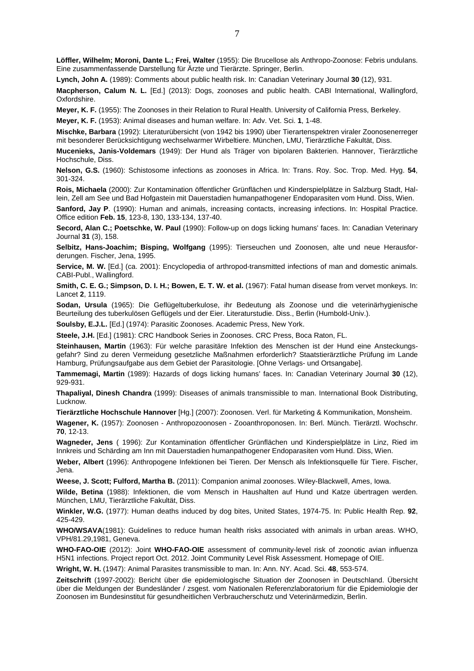**Löffler, Wilhelm; Moroni, Dante L.; Frei, Walter** (1955): Die Brucellose als Anthropo-Zoonose: Febris undulans. Eine zusammenfassende Darstellung für Ärzte und Tierärzte. Springer, Berlin.

**Lynch, John A.** (1989): Comments about public health risk. In: Canadian Veterinary Journal **30** (12), 931.

**Macpherson, Calum N. L.** [Ed.] (2013): Dogs, zoonoses and public health. CABI International, Wallingford, Oxfordshire.

**Meyer, K. F.** (1955): The Zoonoses in their Relation to Rural Health. University of California Press, Berkeley.

**Meyer, K. F.** (1953): Animal diseases and human welfare. In: Adv. Vet. Sci. **1**, 1-48.

**Mischke, Barbara** (1992): Literaturübersicht (von 1942 bis 1990) über Tierartenspektren viraler Zoonosenerreger mit besonderer Berücksichtigung wechselwarmer Wirbeltiere. München, LMU, Tierärztliche Fakultät, Diss.

**Mucenieks, Janis-Voldemars** (1949): Der Hund als Träger von bipolaren Bakterien. Hannover, Tierärztliche Hochschule, Diss.

**Nelson, G.S.** (1960): Schistosome infections as zoonoses in Africa. In: Trans. Roy. Soc. Trop. Med. Hyg. **54**, 301-324.

**Rois, Michaela** (2000): Zur Kontamination öffentlicher Grünflächen und Kinderspielplätze in Salzburg Stadt, Hallein, Zell am See und Bad Hofgastein mit Dauerstadien humanpathogener Endoparasiten vom Hund. Diss, Wien.

Sanford, Jay P. (1990): Human and animals, increasing contacts, increasing infections. In: Hospital Practice. Office edition **Feb. 15**, 123-8, 130, 133-134, 137-40.

**Secord, Alan C.; Poetschke, W. Paul** (1990): Follow-up on dogs licking humans' faces. In: Canadian Veterinary Journal **31** (3), 158.

**Selbitz, Hans-Joachim; Bisping, Wolfgang** (1995): Tierseuchen und Zoonosen, alte und neue Herausforderungen. Fischer, Jena, 1995.

**Service, M. W.** [Ed.] (ca. 2001): Encyclopedia of arthropod-transmitted infections of man and domestic animals. CABI-Publ., Wallingford.

**Smith, C. E. G.; Simpson, D. I. H.; Bowen, E. T. W. et al.** (1967): Fatal human disease from vervet monkeys. In: Lancet **2**, 1119.

**Sodan, Ursula** (1965): Die Geflügeltuberkulose, ihr Bedeutung als Zoonose und die veterinärhygienische Beurteilung des tuberkulösen Geflügels und der Eier. Literaturstudie. Diss., Berlin (Humbold-Univ.).

**Soulsby, E.J.L.** [Ed.] (1974): Parasitic Zoonoses. Academic Press, New York.

**Steele, J.H.** [Ed.] (1981): CRC Handbook Series in Zoonoses. CRC Press, Boca Raton, FL.

**Steinhausen, Martin** (1963): Für welche parasitäre Infektion des Menschen ist der Hund eine Ansteckungsgefahr? Sind zu deren Vermeidung gesetzliche Maßnahmen erforderlich? Staatstierärztliche Prüfung im Lande Hamburg, Prüfungsaufgabe aus dem Gebiet der Parasitologie. [Ohne Verlags- und Ortsangabe].

**Tammemagi, Martin** (1989): Hazards of dogs licking humans' faces. In: Canadian Veterinary Journal **30** (12), 929-931.

**Thapaliyal, Dinesh Chandra** (1999): Diseases of animals transmissible to man. International Book Distributing, Lucknow.

**Tierärztliche Hochschule Hannover** [Hg.] (2007): Zoonosen. Verl. für Marketing & Kommunikation, Monsheim.

**Wagener, K.** (1957): Zoonosen - Anthropozoonosen - Zooanthroponosen. In: Berl. Münch. Tierärztl. Wochschr. **70**, 12-13.

**Wagneder, Jens** ( 1996): Zur Kontamination öffentlicher Grünflächen und Kinderspielplätze in Linz, Ried im Innkreis und Schärding am Inn mit Dauerstadien humanpathogener Endoparasiten vom Hund. Diss, Wien.

**Weber, Albert** (1996): Anthropogene Infektionen bei Tieren. Der Mensch als Infektionsquelle für Tiere. Fischer, Jena.

**Weese, J. Scott; Fulford, Martha B.** (2011): Companion animal zoonoses. Wiley-Blackwell, Ames, Iowa.

**Wilde, Betina** (1988): Infektionen, die vom Mensch in Haushalten auf Hund und Katze übertragen werden. München, LMU, Tierärztliche Fakultät, Diss.

**Winkler, W.G.** (1977): Human deaths induced by dog bites, United States, 1974-75. In: Public Health Rep. **92**, 425-429.

**WHO/WSAVA**(1981): Guidelines to reduce human health risks associated with animals in urban areas. WHO, VPH/81.29,1981, Geneva.

**WHO-FAO-OIE** (2012): Joint **WHO-FAO-OIE** assessment of community-level risk of zoonotic avian influenza H5N1 infections. Project report Oct. 2012. Joint Community Level Risk Assessment. Homepage of OIE.

**Wright, W. H.** (1947): Animal Parasites transmissible to man. In: Ann. NY. Acad. Sci. **48**, 553-574.

**Zeitschrift** (1997-2002): Bericht über die epidemiologische Situation der Zoonosen in Deutschland. Übersicht über die Meldungen der Bundesländer / zsgest. vom Nationalen Referenzlaboratorium für die Epidemiologie der Zoonosen im Bundesinstitut für gesundheitlichen Verbraucherschutz und Veterinärmedizin, Berlin.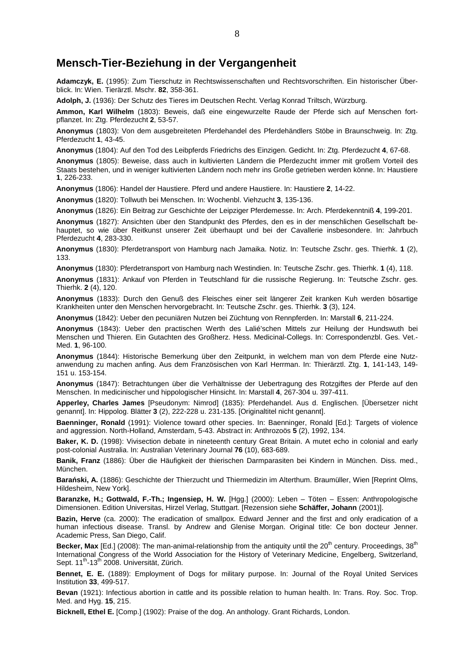#### **Mensch-Tier-Beziehung in der Vergangenheit**

**Adamczyk, E.** (1995): Zum Tierschutz in Rechtswissenschaften und Rechtsvorschriften. Ein historischer Überblick. In: Wien. Tierärztl. Mschr. **82**, 358-361.

**Adolph, J.** (1936): Der Schutz des Tieres im Deutschen Recht. Verlag Konrad Triltsch, Würzburg.

**Ammon, Karl Wilhelm** (1803): Beweis, daß eine eingewurzelte Raude der Pferde sich auf Menschen fortpflanzet. In: Ztg. Pferdezucht **2**, 53-57.

**Anonymus** (1803): Von dem ausgebreiteten Pferdehandel des Pferdehändlers Stöbe in Braunschweig. In: Ztg. Pferdezucht **1**, 43-45.

**Anonymus** (1804): Auf den Tod des Leibpferds Friedrichs des Einzigen. Gedicht. In: Ztg. Pferdezucht **4**, 67-68.

**Anonymus** (1805): Beweise, dass auch in kultivierten Ländern die Pferdezucht immer mit großem Vorteil des Staats bestehen, und in weniger kultivierten Ländern noch mehr ins Große getrieben werden könne. In: Haustiere **1**, 226-233.

**Anonymus** (1806): Handel der Haustiere. Pferd und andere Haustiere. In: Haustiere **2**, 14-22.

**Anonymus** (1820): Tollwuth bei Menschen. In: Wochenbl. Viehzucht **3**, 135-136.

**Anonymus** (1826): Ein Beitrag zur Geschichte der Leipziger Pferdemesse. In: Arch. Pferdekenntniß **4**, 199-201.

**Anonymus** (1827): Ansichten über den Standpunkt des Pferdes, den es in der menschlichen Gesellschaft behauptet, so wie über Reitkunst unserer Zeit überhaupt und bei der Cavallerie insbesondere. In: Jahrbuch Pferdezucht **4**, 283-330.

**Anonymus** (1830): Pferdetransport von Hamburg nach Jamaika. Notiz. In: Teutsche Zschr. ges. Thierhk. **1** (2), 133.

**Anonymus** (1830): Pferdetransport von Hamburg nach Westindien. In: Teutsche Zschr. ges. Thierhk. **1** (4), 118.

**Anonymus** (1831): Ankauf von Pferden in Teutschland für die russische Regierung. In: Teutsche Zschr. ges. Thierhk. **2** (4), 120.

**Anonymus** (1833): Durch den Genuß des Fleisches einer seit längerer Zeit kranken Kuh werden bösartige Krankheiten unter den Menschen hervorgebracht. In: Teutsche Zschr. ges. Thierhk. **3** (3), 124.

**Anonymus** (1842): Ueber den pecuniären Nutzen bei Züchtung von Rennpferden. In: Marstall **6**, 211-224.

**Anonymus** (1843): Ueber den practischen Werth des Lalié'schen Mittels zur Heilung der Hundswuth bei Menschen und Thieren. Ein Gutachten des Großherz. Hess. Medicinal-Collegs. In: Correspondenzbl. Ges. Vet.- Med. **1**, 96-100.

**Anonymus** (1844): Historische Bemerkung über den Zeitpunkt, in welchem man von dem Pferde eine Nutzanwendung zu machen anfing. Aus dem Französischen von Karl Herrman. In: Thierärztl. Ztg. **1**, 141-143, 149- 151 u. 153-154.

**Anonymus** (1847): Betrachtungen über die Verhältnisse der Uebertragung des Rotzgiftes der Pferde auf den Menschen. In medicinischer und hippologischer Hinsicht. In: Marstall **4**, 267-304 u. 397-411.

**Apperley, Charles James** [Pseudonym: Nimrod] (1835): Pferdehandel. Aus d. Englischen. [Übersetzer nicht genannt]. In: Hippolog. Blätter **3** (2), 222-228 u. 231-135. [Originaltitel nicht genannt].

**Baenninger, Ronald** (1991): Violence toward other species. In: Baenninger, Ronald [Ed.]: Targets of violence and aggression. North-Holland, Amsterdam, 5-43. Abstract in: Anthrozoös **5** (2), 1992, 134.

**Baker, K. D.** (1998): Vivisection debate in nineteenth century Great Britain. A mutet echo in colonial and early post-colonial Australia. In: Australian Veterinary Journal **76** (10), 683-689.

**Banik, Franz** (1886): Über die Häufigkeit der thierischen Darmparasiten bei Kindern in München. Diss. med., München.

**Barański, A.** (1886): Geschichte der Thierzucht und Thiermedizin im Alterthum. Braumüller, Wien [Reprint Olms, Hildesheim, New York].

**Baranzke, H.; Gottwald, F.-Th.; Ingensiep, H. W.** [Hgg.] (2000): Leben – Töten – Essen: Anthropologische Dimensionen. Edition Universitas, Hirzel Verlag, Stuttgart. [Rezension siehe **Schäffer, Johann** (2001)].

**Bazin, Herve** (ca. 2000): The eradication of smallpox. Edward Jenner and the first and only eradication of a human infectious disease. Transl. by Andrew and Glenise Morgan. Original title: Ce bon docteur Jenner. Academic Press, San Diego, Calif.

**Becker, Max** [Ed.] (2008): The man-animal-relationship from the antiquity until the 20<sup>th</sup> century. Proceedings, 38<sup>th</sup> International Congress of the World Association for the History of Veterinary Medicine, Engelberg, Switzerland, Sept. 11<sup>th</sup>-13<sup>th</sup> 2008. Universität, Zürich.

**Bennet, E. E.** (1889): Employment of Dogs for military purpose. In: Journal of the Royal United Services Institution **33**, 499-517.

**Bevan** (1921): Infectious abortion in cattle and its possible relation to human health. In: Trans. Roy. Soc. Trop. Med. and Hyg. **15**, 215.

**Bicknell, Ethel E.** [Comp.] (1902): Praise of the dog. An anthology. Grant Richards, London.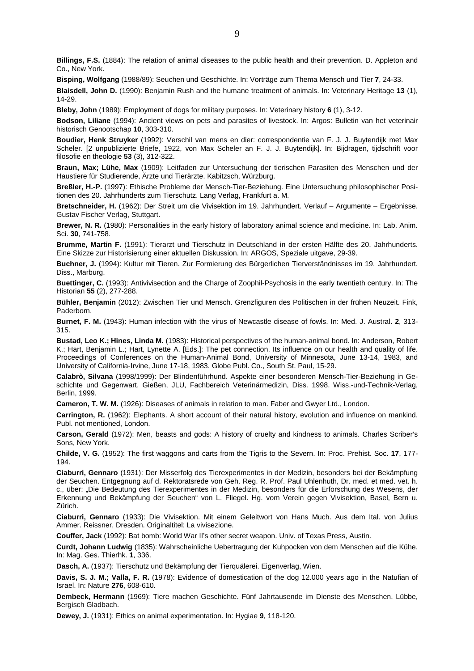**Billings, F.S.** (1884): The relation of animal diseases to the public health and their prevention. D. Appleton and Co., New York.

**Bisping, Wolfgang** (1988/89): Seuchen und Geschichte. In: Vorträge zum Thema Mensch und Tier **7**, 24-33.

**Blaisdell, John D.** (1990): Benjamin Rush and the humane treatment of animals. In: Veterinary Heritage **13** (1), 14-29.

**Bleby, John** (1989): Employment of dogs for military purposes. In: Veterinary history **6** (1), 3-12.

**Bodson, Liliane** (1994): Ancient views on pets and parasites of livestock. In: Argos: Bulletin van het veterinair historisch Genootschap **10**, 303-310.

**Boudier, Henk Struyker** (1992): Verschil van mens en dier: correspondentie van F. J. J. Buytendijk met Max Scheler. [2 unpublizierte Briefe, 1922, von Max Scheler an F. J. J. Buytendijk]. In: Bijdragen, tijdschrift voor filosofie en theologie **53** (3), 312-322.

**Braun, Max; Lühe, Max** (1909): Leitfaden zur Untersuchung der tierischen Parasiten des Menschen und der Haustiere für Studierende, Ärzte und Tierärzte. Kabitzsch, Würzburg.

**Breßler, H.-P.** (1997): Ethische Probleme der Mensch-Tier-Beziehung. Eine Untersuchung philosophischer Positionen des 20. Jahrhunderts zum Tierschutz. Lang Verlag, Frankfurt a. M.

**Bretschneider, H.** (1962): Der Streit um die Vivisektion im 19. Jahrhundert. Verlauf – Argumente – Ergebnisse. Gustav Fischer Verlag, Stuttgart.

**Brewer, N. R.** (1980): Personalities in the early history of laboratory animal science and medicine. In: Lab. Anim. Sci. **30**, 741-758.

**Brumme, Martin F.** (1991): Tierarzt und Tierschutz in Deutschland in der ersten Hälfte des 20. Jahrhunderts. Eine Skizze zur Historisierung einer aktuellen Diskussion. In: ARGOS, Speziale uitgave, 29-39.

**Buchner, J.** (1994): Kultur mit Tieren. Zur Formierung des Bürgerlichen Tierverständnisses im 19. Jahrhundert. Diss., Marburg.

**Buettinger, C.** (1993): Antivivisection and the Charge of Zoophil-Psychosis in the early twentieth century. In: The Historian **55** (2), 277-288.

**Bühler, Benjamin** (2012): Zwischen Tier und Mensch. Grenzfiguren des Politischen in der frühen Neuzeit. Fink, Paderborn.

**Burnet, F. M.** (1943): Human infection with the virus of Newcastle disease of fowls. In: Med. J. Austral. **2**, 313- 315.

**Bustad, Leo K.; Hines, Linda M.** (1983): Historical perspectives of the human-animal bond. In: Anderson, Robert K.; Hart, Benjamin L.; Hart, Lynette A. [Eds.]: The pet connection. Its influence on our health and quality of life. Proceedings of Conferences on the Human-Animal Bond, University of Minnesota, June 13-14, 1983, and University of California-Irvine, June 17-18, 1983. Globe Publ. Co., South St. Paul, 15-29.

**Calabrò, Silvana** (1998/1999): Der Blindenführhund. Aspekte einer besonderen Mensch-Tier-Beziehung in Geschichte und Gegenwart. Gießen, JLU, Fachbereich Veterinärmedizin, Diss. 1998. Wiss.-und-Technik-Verlag, Berlin, 1999.

**Cameron, T. W. M.** (1926): Diseases of animals in relation to man. Faber and Gwyer Ltd., London.

**Carrington, R.** (1962): Elephants. A short account of their natural history, evolution and influence on mankind. Publ. not mentioned, London.

**Carson, Gerald** (1972): Men, beasts and gods: A history of cruelty and kindness to animals. Charles Scriber's Sons, New York.

**Childe, V. G.** (1952): The first waggons and carts from the Tigris to the Severn. In: Proc. Prehist. Soc. **17**, 177- 194.

**Ciaburri, Gennaro** (1931): Der Misserfolg des Tierexperimentes in der Medizin, besonders bei der Bekämpfung der Seuchen. Entgegnung auf d. Rektoratsrede von Geh. Reg. R. Prof. Paul Uhlenhuth, Dr. med. et med. vet. h. c., über: "Die Bedeutung des Tierexperimentes in der Medizin, besonders für die Erforschung des Wesens, der Erkennung und Bekämpfung der Seuchen" von L. Fliegel. Hg. vom Verein gegen Vivisektion, Basel, Bern u. Zürich.

**Ciaburri, Gennaro** (1933): Die Vivisektion. Mit einem Geleitwort von Hans Much. Aus dem Ital. von Julius Ammer. Reissner, Dresden. Originaltitel: La vivisezione.

**Couffer, Jack** (1992): Bat bomb: World War II's other secret weapon. Univ. of Texas Press, Austin.

**Curdt, Johann Ludwig** (1835): Wahrscheinliche Uebertragung der Kuhpocken von dem Menschen auf die Kühe. In: Mag. Ges. Thierhk. **1**, 336.

**Dasch, A.** (1937): Tierschutz und Bekämpfung der Tierquälerei. Eigenverlag, Wien.

**Davis, S. J. M.; Valla, F. R.** (1978): Evidence of domestication of the dog 12.000 years ago in the Natufian of Israel. In: Nature **276**, 608-610.

**Dembeck, Hermann** (1969): Tiere machen Geschichte. Fünf Jahrtausende im Dienste des Menschen. Lübbe, Bergisch Gladbach.

**Dewey, J.** (1931): Ethics on animal experimentation. In: Hygiae **9**, 118-120.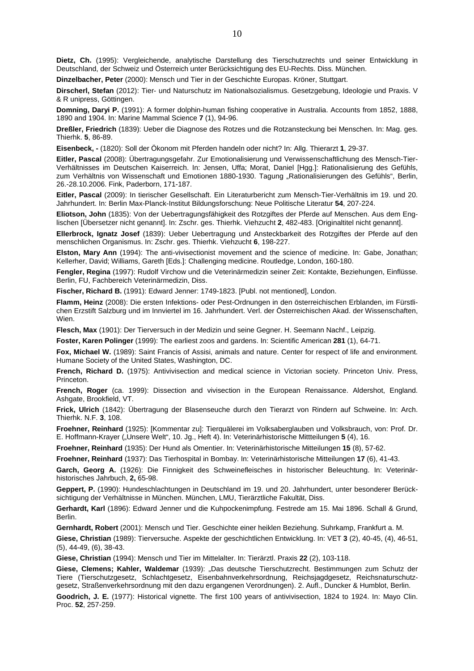**Dietz, Ch.** (1995): Vergleichende, analytische Darstellung des Tierschutzrechts und seiner Entwicklung in Deutschland, der Schweiz und Österreich unter Berücksichtigung des EU-Rechts. Diss. München.

**Dinzelbacher, Peter** (2000): Mensch und Tier in der Geschichte Europas. Kröner, Stuttgart.

**Dirscherl, Stefan** (2012): Tier- und Naturschutz im Nationalsozialismus. Gesetzgebung, Ideologie und Praxis. V & R unipress, Göttingen.

**Domning, Daryi P.** (1991): A former dolphin-human fishing cooperative in Australia. Accounts from 1852, 1888, 1890 and 1904. In: Marine Mammal Science **7** (1), 94-96.

**Dreßler, Friedrich** (1839): Ueber die Diagnose des Rotzes und die Rotzansteckung bei Menschen. In: Mag. ges. Thierhk. **5**, 86-89.

**Eisenbeck, -** (1820): Soll der Ökonom mit Pferden handeln oder nicht? In: Allg. Thierarzt **1**, 29-37.

**Eitler, Pascal** (2008): Übertragungsgefahr. Zur Emotionalisierung und Verwissenschaftlichung des Mensch-Tier-Verhältnisses im Deutschen Kaiserreich. In: Jensen, Uffa; Morat, Daniel [Hgg.]: Rationalisierung des Gefühls, zum Verhältnis von Wissenschaft und Emotionen 1880-1930. Tagung "Rationalisierungen des Gefühls", Berlin, 26.-28.10.2006. Fink, Paderborn, 171-187.

**Eitler, Pascal** (2009): In tierischer Gesellschaft. Ein Literaturbericht zum Mensch-Tier-Verhältnis im 19. und 20. Jahrhundert. In: Berlin Max-Planck-Institut Bildungsforschung: Neue Politische Literatur **54**, 207-224.

**Eliotson, John** (1835): Von der Uebertragungsfähigkeit des Rotzgiftes der Pferde auf Menschen. Aus dem Englischen [Übersetzer nicht genannt]. In: Zschr. ges. Thierhk. Viehzucht **2**, 482-483. [Originaltitel nicht genannt].

**Ellerbrock, Ignatz Josef** (1839): Ueber Uebertragung und Ansteckbarkeit des Rotzgiftes der Pferde auf den menschlichen Organismus. In: Zschr. ges. Thierhk. Viehzucht **6**, 198-227.

**Elston, Mary Ann** (1994): The anti-vivisectionist movement and the science of medicine. In: Gabe, Jonathan; Kellerher, David; Williams, Gareth [Eds.]: Challenging medicine. Routledge, London, 160-180.

**Fengler, Regina** (1997): Rudolf Virchow und die Veterinärmedizin seiner Zeit: Kontakte, Beziehungen, Einflüsse. Berlin, FU, Fachbereich Veterinärmedizin, Diss.

**Fischer, Richard B.** (1991): Edward Jenner: 1749-1823. [Publ. not mentioned], London.

**Flamm, Heinz** (2008): Die ersten Infektions- oder Pest-Ordnungen in den österreichischen Erblanden, im Fürstlichen Erzstift Salzburg und im Innviertel im 16. Jahrhundert. Verl. der Österreichischen Akad. der Wissenschaften, Wien.

**Flesch, Max** (1901): Der Tierversuch in der Medizin und seine Gegner. H. Seemann Nachf., Leipzig.

**Foster, Karen Polinger** (1999): The earliest zoos and gardens. In: Scientific American **281** (1), 64-71.

**Fox, Michael W.** (1989): Saint Francis of Assisi, animals and nature. Center for respect of life and environment. Humane Society of the United States, Washington, DC.

**French, Richard D.** (1975): Antivivisection and medical science in Victorian society. Princeton Univ. Press, Princeton.

**French, Roger** (ca. 1999): Dissection and vivisection in the European Renaissance. Aldershot, England. Ashgate, Brookfield, VT.

**Frick, Ulrich** (1842): Übertragung der Blasenseuche durch den Tierarzt von Rindern auf Schweine. In: Arch. Thierhk. N.F. **3**, 108.

**Froehner, Reinhard** (1925): [Kommentar zu]: Tierquälerei im Volksaberglauben und Volksbrauch, von: Prof. Dr. E. Hoffmann-Krayer ("Unsere Welt", 10. Jg., Heft 4). In: Veterinärhistorische Mittteilungen **5** (4), 16.

**Froehner, Reinhard** (1935): Der Hund als Omentier. In: Veterinärhistorische Mitteilungen **15** (8), 57-62.

**Froehner, Reinhard** (1937): Das Tierhospital in Bombay. In: Veterinärhistorische Mitteilungen **17** (6), 41-43.

**Garch, Georg A.** (1926): Die Finnigkeit des Schweinefleisches in historischer Beleuchtung. In: Veterinärhistorisches Jahrbuch, **2,** 65-98.

**Geppert, P.** (1990): Hundeschlachtungen in Deutschland im 19. und 20. Jahrhundert, unter besonderer Berücksichtigung der Verhältnisse in München. München, LMU, Tierärztliche Fakultät, Diss.

**Gerhardt, Karl** (1896): Edward Jenner und die Kuhpockenimpfung. Festrede am 15. Mai 1896. Schall & Grund, Berlin.

**Gernhardt, Robert** (2001): Mensch und Tier. Geschichte einer heiklen Beziehung. Suhrkamp, Frankfurt a. M.

**Giese, Christian** (1989): Tierversuche. Aspekte der geschichtlichen Entwicklung. In: VET **3** (2), 40-45, (4), 46-51, (5), 44-49, (6), 38-43.

**Giese, Christian** (1994): Mensch und Tier im Mittelalter. In: Tierärztl. Praxis **22** (2), 103-118.

**Giese, Clemens; Kahler, Waldemar** (1939): "Das deutsche Tierschutzrecht. Bestimmungen zum Schutz der Tiere (Tierschutzgesetz, Schlachtgesetz, Eisenbahnverkehrsordnung, Reichsjagdgesetz, Reichsnaturschutzgesetz, Straßenverkehrsordnung mit den dazu ergangenen Verordnungen). 2. Aufl., Duncker & Humblot, Berlin.

**Goodrich, J. E.** (1977): Historical vignette. The first 100 years of antivivisection, 1824 to 1924. In: Mayo Clin. Proc. **52**, 257-259.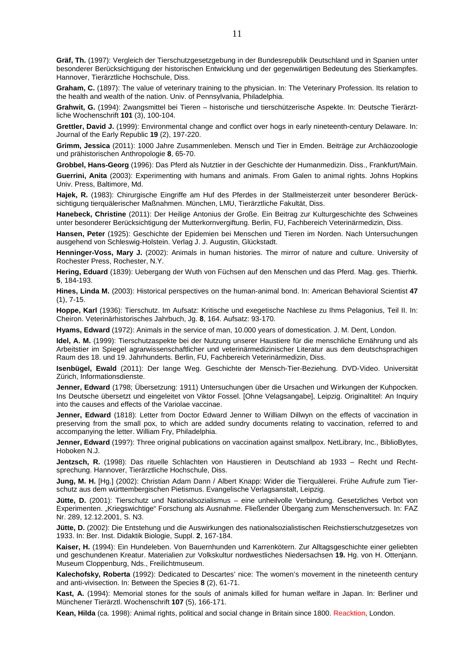**Gräf, Th.** (1997): Vergleich der Tierschutzgesetzgebung in der Bundesrepublik Deutschland und in Spanien unter besonderer Berücksichtigung der historischen Entwicklung und der gegenwärtigen Bedeutung des Stierkampfes. Hannover, Tierärztliche Hochschule, Diss.

**Graham, C.** (1897): The value of veterinary training to the physician. In: The Veterinary Profession. Its relation to the health and wealth of the nation. Univ. of Pennsylvania, Philadelphia.

**Grahwit, G.** (1994): Zwangsmittel bei Tieren – historische und tierschützerische Aspekte. In: Deutsche Tierärztliche Wochenschrift **101** (3), 100-104.

**Grettler, David J.** (1999): Environmental change and conflict over hogs in early nineteenth-century Delaware. In: Journal of the Early Republic **19** (2), 197-220.

**Grimm, Jessica** (2011): 1000 Jahre Zusammenleben. Mensch und Tier in Emden. Beiträge zur Archäozoologie und prähistorischen Anthropologie **8**, 65-70.

**Grobbel, Hans-Georg** (1996): Das Pferd als Nutztier in der Geschichte der Humanmedizin. Diss., Frankfurt/Main.

**Guerrini, Anita** (2003): Experimenting with humans and animals. From Galen to animal rights. Johns Hopkins Univ. Press, Baltimore, Md.

**Hajek, R.** (1983): Chirurgische Eingriffe am Huf des Pferdes in der Stallmeisterzeit unter besonderer Berücksichtigung tierquälerischer Maßnahmen. München, LMU, Tierärztliche Fakultät, Diss.

**Hanebeck, Christine** (2011): Der Heilige Antonius der Große. Ein Beitrag zur Kulturgeschichte des Schweines unter besonderer Berücksichtigung der Mutterkornvergiftung. Berlin, FU, Fachbereich Veterinärmedizin, Diss.

**Hansen, Peter** (1925): Geschichte der Epidemien bei Menschen und Tieren im Norden. Nach Untersuchungen ausgehend von Schleswig-Holstein. Verlag J. J. Augustin, Glückstadt.

**Henninger-Voss, Mary J.** (2002): Animals in human histories. The mirror of nature and culture. University of Rochester Press, Rochester, N.Y.

**Hering, Eduard** (1839): Uebergang der Wuth von Füchsen auf den Menschen und das Pferd. Mag. ges. Thierhk. **5**, 184-193.

**Hines, Linda M.** (2003): Historical perspectives on the human-animal bond. In: American Behavioral Scientist **47** (1), 7-15.

**Hoppe, Karl** (1936): Tierschutz. Im Aufsatz: Kritische und exegetische Nachlese zu Ihms Pelagonius, Teil II. In: Cheiron. Veterinärhistorisches Jahrbuch, Jg. **8**, 164. Aufsatz: 93-170.

**Hyams, Edward** (1972): Animals in the service of man, 10.000 years of domestication. J. M. Dent, London.

**Idel, A. M.** (1999): Tierschutzaspekte bei der Nutzung unserer Haustiere für die menschliche Ernährung und als Arbeitstier im Spiegel agrarwissenschaftlicher und veterinärmedizinischer Literatur aus dem deutschsprachigen Raum des 18. und 19. Jahrhunderts. Berlin, FU, Fachbereich Veterinärmedizin, Diss.

**Isenbügel, Ewald** (2011): Der lange Weg. Geschichte der Mensch-Tier-Beziehung. DVD-Video. Universität Zürich, Informationsdienste.

**Jenner, Edward** (1798; Übersetzung: 1911) Untersuchungen über die Ursachen und Wirkungen der Kuhpocken. Ins Deutsche übersetzt und eingeleitet von Viktor Fossel. [Ohne Velagsangabe], Leipzig. Originaltitel: An Inquiry into the causes and effects of the Variolae vaccinae.

**Jenner, Edward** (1818): Letter from Doctor Edward Jenner to William Dillwyn on the effects of vaccination in preserving from the small pox, to which are added sundry documents relating to vaccination, referred to and accompanying the letter. William Fry, Philadelphia.

**Jenner, Edward** (199?): Three original publications on vaccination against smallpox. NetLibrary, Inc., BiblioBytes, Hoboken N.J.

**Jentzsch, R.** (1998): Das rituelle Schlachten von Haustieren in Deutschland ab 1933 – Recht und Rechtsprechung. Hannover, Tierärztliche Hochschule, Diss.

**Jung, M. H.** [Hg.] (2002): Christian Adam Dann / Albert Knapp: Wider die Tierquälerei. Frühe Aufrufe zum Tierschutz aus dem württembergischen Pietismus. Evangelische Verlagsanstalt, Leipzig.

Jütte, D. (2001): Tierschutz und Nationalsozialismus - eine unheilvolle Verbindung. Gesetzliches Verbot von Experimenten. "Kriegswichtige" Forschung als Ausnahme. Fließender Übergang zum Menschenversuch. In: FAZ Nr. 289, 12.12.2001, S. N3.

**Jütte, D.** (2002): Die Entstehung und die Auswirkungen des nationalsozialistischen Reichstierschutzgesetzes von 1933. In: Ber. Inst. Didaktik Biologie, Suppl. **2**, 167-184.

**Kaiser, H.** (1994): Ein Hundeleben. Von Bauernhunden und Karrenkötern. Zur Alltagsgeschichte einer geliebten und geschundenen Kreatur. Materialien zur Volkskultur nordwestliches Niedersachsen **19.** Hg. von H. Ottenjann. Museum Cloppenburg, Nds., Freilichtmuseum.

**Kalechofsky, Roberta** (1992): Dedicated to Descartes' nice: The women's movement in the nineteenth century and anti-vivisection. In: Between the Species **8** (2), 61-71.

**Kast, A.** (1994): Memorial stones for the souls of animals killed for human welfare in Japan. In: Berliner und Münchener Tierärztl. Wochenschrift **107** (5), 166-171.

**Kean, Hilda** (ca. 1998): Animal rights, political and social change in Britain since 1800. Reacktion, London.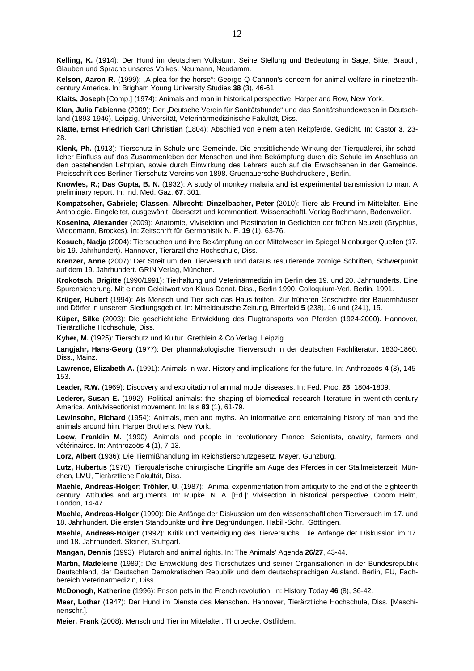**Kelling, K.** (1914): Der Hund im deutschen Volkstum. Seine Stellung und Bedeutung in Sage, Sitte, Brauch, Glauben und Sprache unseres Volkes. Neumann, Neudamm.

Kelson, Aaron R. (1999): "A plea for the horse": George Q Cannon's concern for animal welfare in nineteenthcentury America. In: Brigham Young University Studies **38** (3), 46-61.

**Klaits, Joseph** [Comp.] (1974): Animals and man in historical perspective. Harper and Row, New York.

**Klan, Julia Fabienne** (2009): Der "Deutsche Verein für Sanitätshunde" und das Sanitätshundewesen in Deutschland (1893-1946). Leipzig, Universität, Veterinärmedizinische Fakultät, Diss.

**Klatte, Ernst Friedrich Carl Christian** (1804): Abschied von einem alten Reitpferde. Gedicht. In: Castor **3**, 23- 28.

**Klenk, Ph.** (1913): Tierschutz in Schule und Gemeinde. Die entsittlichende Wirkung der Tierquälerei, ihr schädlicher Einfluss auf das Zusammenleben der Menschen und ihre Bekämpfung durch die Schule im Anschluss an den bestehenden Lehrplan, sowie durch Einwirkung des Lehrers auch auf die Erwachsenen in der Gemeinde. Preisschrift des Berliner Tierschutz-Vereins von 1898. Gruenauersche Buchdruckerei, Berlin.

**Knowles, R.; Das Gupta, B. N.** (1932): A study of monkey malaria and ist experimental transmission to man. A preliminary report. In: Ind. Med. Gaz. **67**, 301.

**Kompatscher, Gabriele; Classen, Albrecht; Dinzelbacher, Peter** (2010): Tiere als Freund im Mittelalter. Eine Anthologie. Eingeleitet, ausgewählt, übersetzt und kommentiert. Wissenschaftl. Verlag Bachmann, Badenweiler.

**Kosenina, Alexander** (2009): Anatomie, Vivisektion und Plastination in Gedichten der frühen Neuzeit (Gryphius, Wiedemann, Brockes). In: Zeitschrift für Germanistik N. F. **19** (1), 63-76.

**Kosuch, Nadja** (2004): Tierseuchen und ihre Bekämpfung an der Mittelweser im Spiegel Nienburger Quellen (17. bis 19. Jahrhundert). Hannover, Tierärztliche Hochschule, Diss.

**Krenzer, Anne** (2007): Der Streit um den Tierversuch und daraus resultierende zornige Schriften, Schwerpunkt auf dem 19. Jahrhundert. GRIN Verlag, München.

**Krokotsch, Brigitte** (1990/1991): Tierhaltung und Veterinärmedizin im Berlin des 19. und 20. Jahrhunderts. Eine Spurensicherung. Mit einem Geleitwort von Klaus Donat. Diss., Berlin 1990. Colloquium-Verl, Berlin, 1991.

**Krüger, Hubert** (1994): Als Mensch und Tier sich das Haus teilten. Zur früheren Geschichte der Bauernhäuser und Dörfer in unserem Siedlungsgebiet. In: Mitteldeutsche Zeitung, Bitterfeld **5** (238), 16 und (241), 15.

**Küper, Silke** (2003): Die geschichtliche Entwicklung des Flugtransports von Pferden (1924-2000). Hannover, Tierärztliche Hochschule, Diss.

**Kyber, M.** (1925): Tierschutz und Kultur. Grethlein & Co Verlag, Leipzig.

**Langjahr, Hans-Georg** (1977): Der pharmakologische Tierversuch in der deutschen Fachliteratur, 1830-1860. Diss., Mainz.

**Lawrence, Elizabeth A.** (1991): Animals in war. History and implications for the future. In: Anthrozoös **4** (3), 145- 153.

**Leader, R.W.** (1969): Discovery and exploitation of animal model diseases. In: Fed. Proc. **28**, 1804-1809.

**Lederer, Susan E.** (1992): Political animals: the shaping of biomedical research literature in twentieth-century America. Antivivisectionist movement. In: Isis **83** (1), 61-79.

**Lewinsohn, Richard** (1954): Animals, men and myths. An informative and entertaining history of man and the animals around him. Harper Brothers, New York.

Loew, Franklin M. (1990): Animals and people in revolutionary France. Scientists, cavalry, farmers and vétérinaires. In: Anthrozoös **4** (1), 7-13.

**Lorz, Albert** (1936): Die Tiermißhandlung im Reichstierschutzgesetz. Mayer, Günzburg.

**Lutz, Hubertus** (1978): Tierquälerische chirurgische Eingriffe am Auge des Pferdes in der Stallmeisterzeit. München, LMU, Tierärztliche Fakultät, Diss.

**Maehle, Andreas-Holger; Tröhler, U.** (1987): Animal experimentation from antiquity to the end of the eighteenth century. Attitudes and arguments. In: Rupke, N. A. [Ed.]: Vivisection in historical perspective. Croom Helm, London, 14-47.

**Maehle, Andreas-Holger** (1990): Die Anfänge der Diskussion um den wissenschaftlichen Tierversuch im 17. und 18. Jahrhundert. Die ersten Standpunkte und ihre Begründungen. Habil.-Schr., Göttingen.

**Maehle, Andreas-Holger** (1992): Kritik und Verteidigung des Tierversuchs. Die Anfänge der Diskussion im 17. und 18. Jahrhundert. Steiner, Stuttgart.

**Mangan, Dennis** (1993): Plutarch and animal rights. In: The Animals' Agenda **26/27**, 43-44.

**Martin, Madeleine** (1989): Die Entwicklung des Tierschutzes und seiner Organisationen in der Bundesrepublik Deutschland, der Deutschen Demokratischen Republik und dem deutschsprachigen Ausland. Berlin, FU, Fachbereich Veterinärmedizin, Diss.

**McDonogh, Katherine** (1996): Prison pets in the French revolution. In: History Today **46** (8), 36-42.

**Meer, Lothar** (1947): Der Hund im Dienste des Menschen. Hannover, Tierärztliche Hochschule, Diss. [Maschinenschr.].

**Meier, Frank** (2008): Mensch und Tier im Mittelalter. Thorbecke, Ostfildern.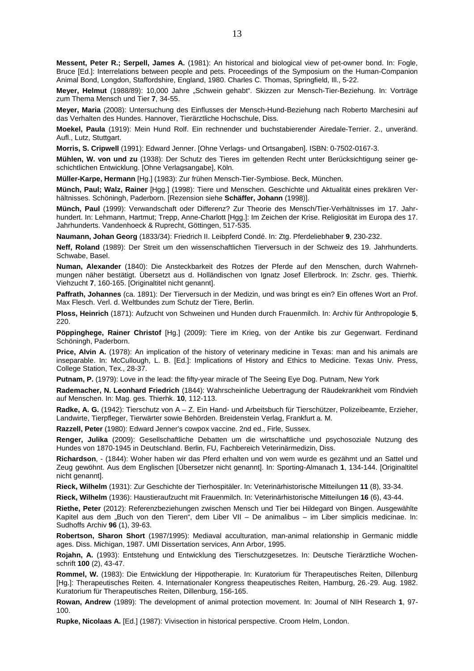**Messent, Peter R.; Serpell, James A.** (1981): An historical and biological view of pet-owner bond. In: Fogle, Bruce [Ed.]: Interrelations between people and pets. Proceedings of the Symposium on the Human-Companion Animal Bond, Longdon, Staffordshire, England, 1980. Charles C. Thomas, Springfield, Ill., 5-22.

Meyer, Helmut (1988/89): 10,000 Jahre "Schwein gehabt". Skizzen zur Mensch-Tier-Beziehung. In: Vorträge zum Thema Mensch und Tier **7**, 34-55.

**Meyer, Maria** (2008): Untersuchung des Einflusses der Mensch-Hund-Beziehung nach Roberto Marchesini auf das Verhalten des Hundes. Hannover, Tierärztliche Hochschule, Diss.

**Moekel, Paula** (1919): Mein Hund Rolf. Ein rechnender und buchstabierender Airedale-Terrier. 2., unveränd. Aufl., Lutz, Stuttgart.

**Morris, S. Cripwell** (1991): Edward Jenner. [Ohne Verlags- und Ortsangaben]. ISBN: 0-7502-0167-3.

**Mühlen, W. von und zu** (1938): Der Schutz des Tieres im geltenden Recht unter Berücksichtigung seiner geschichtlichen Entwicklung. [Ohne Verlagsangabe], Köln.

**Müller-Karpe, Hermann** [Hg.] (1983): Zur frühen Mensch-Tier-Symbiose. Beck, München.

**Münch, Paul; Walz, Rainer** [Hgg.] (1998): Tiere und Menschen. Geschichte und Aktualität eines prekären Verhältnisses. Schöningh, Paderborn. [Rezension siehe **Schäffer, Johann** (1998)].

**Münch, Paul** (1999): Verwandschaft oder Differenz? Zur Theorie des Mensch/Tier-Verhältnisses im 17. Jahrhundert. In: Lehmann, Hartmut; Trepp, Anne-Charlott [Hgg.]: Im Zeichen der Krise. Religiosität im Europa des 17. Jahrhunderts. Vandenhoeck & Ruprecht, Göttingen, 517-535.

**Naumann, Johan Georg** (1833/34): Friedrich II. Leibpferd Condé. In: Ztg. Pferdeliebhaber **9**, 230-232.

**Neff, Roland** (1989): Der Streit um den wissenschaftlichen Tierversuch in der Schweiz des 19. Jahrhunderts. Schwabe, Basel.

**Numan, Alexander** (1840): Die Ansteckbarkeit des Rotzes der Pferde auf den Menschen, durch Wahrnehmungen näher bestätigt. Übersetzt aus d. Holländischen von Ignatz Josef Ellerbrock. In: Zschr. ges. Thierhk. Viehzucht **7**, 160-165. [Originaltitel nicht genannt].

**Paffrath, Johannes** (ca. 1891): Der Tierversuch in der Medizin, und was bringt es ein? Ein offenes Wort an Prof. Max Flesch. Verl. d. Weltbundes zum Schutz der Tiere, Berlin.

**Ploss, Heinrich** (1871): Aufzucht von Schweinen und Hunden durch Frauenmilch. In: Archiv für Anthropologie **5**, 220.

**Pöppinghege, Rainer Christof** [Hg.] (2009): Tiere im Krieg, von der Antike bis zur Gegenwart. Ferdinand Schöningh, Paderborn.

**Price, Alvin A.** (1978): An implication of the history of veterinary medicine in Texas: man and his animals are inseparable. In: McCullough, L. B. [Ed.]: Implications of History and Ethics to Medicine. Texas Univ. Press, College Station, Tex., 28-37.

**Putnam, P.** (1979): Love in the lead: the fifty-year miracle of The Seeing Eye Dog. Putnam, New York

**Rademacher, N. Leonhard Friedrich** (1844): Wahrscheinliche Uebertragung der Räudekrankheit vom Rindvieh auf Menschen. In: Mag. ges. Thierhk. **10**, 112-113.

**Radke, A. G.** (1942): Tierschutz von A – Z. Ein Hand- und Arbeitsbuch für Tierschützer, Polizeibeamte, Erzieher, Landwirte, Tierpfleger, Tierwärter sowie Behörden. Breidenstein Verlag, Frankfurt a. M.

**Razzell, Peter** (1980): Edward Jenner's cowpox vaccine. 2nd ed., Firle, Sussex.

**Renger, Julika** (2009): Gesellschaftliche Debatten um die wirtschaftliche und psychosoziale Nutzung des Hundes von 1870-1945 in Deutschland. Berlin, FU, Fachbereich Veterinärmedizin, Diss.

**Richardson**, - (1844): Woher haben wir das Pferd erhalten und von wem wurde es gezähmt und an Sattel und Zeug gewöhnt. Aus dem Englischen [Übersetzer nicht genannt]. In: Sporting-Almanach **1**, 134-144. [Originaltitel nicht genannt].

**Rieck, Wilhelm** (1931): Zur Geschichte der Tierhospitäler. In: Veterinärhistorische Mitteilungen **11** (8), 33-34.

**Rieck, Wilhelm** (1936): Haustieraufzucht mit Frauenmilch. In: Veterinärhistorische Mitteilungen **16** (6), 43-44.

**Riethe, Peter** (2012): Referenzbeziehungen zwischen Mensch und Tier bei Hildegard von Bingen. Ausgewählte Kapitel aus dem "Buch von den Tieren", dem Liber VII – De animalibus – im Liber simplicis medicinae. In: Sudhoffs Archiv **96** (1), 39-63.

**Robertson, Sharon Short** (1987/1995): Mediaval acculturation, man-animal relationship in Germanic middle ages. Diss. Michigan, 1987. UMI Dissertation services, Ann Arbor, 1995.

**Rojahn, A.** (1993): Entstehung und Entwicklung des Tierschutzgesetzes. In: Deutsche Tierärztliche Wochenschrift **100** (2), 43-47.

**Rommel, W.** (1983): Die Entwicklung der Hippotherapie. In: Kuratorium für Therapeutisches Reiten, Dillenburg [Hg.]: Therapeutisches Reiten. 4. Internationaler Kongress theapeutisches Reiten, Hamburg, 26.-29. Aug. 1982. Kuratorium für Therapeutisches Reiten, Dillenburg, 156-165.

**Rowan, Andrew** (1989): The development of animal protection movement. In: Journal of NIH Research **1**, 97- 100.

**Rupke, Nicolaas A.** [Ed.] (1987): Vivisection in historical perspective. Croom Helm, London.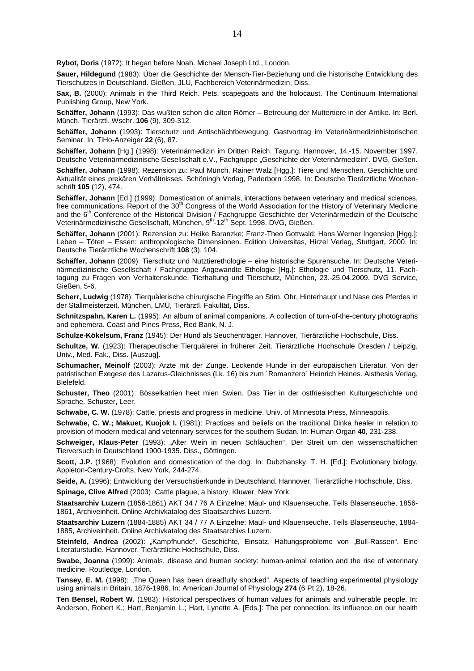**Rybot, Doris** (1972): It began before Noah. Michael Joseph Ltd., London.

**Sauer, Hildegund** (1983): Über die Geschichte der Mensch-Tier-Beziehung und die historische Entwicklung des Tierschutzes in Deutschland. Gießen, JLU, Fachbereich Veterinärmedizin, Diss.

**Sax, B.** (2000): Animals in the Third Reich. Pets, scapegoats and the holocaust. The Continuum International Publishing Group, New York.

**Schäffer, Johann** (1993): Das wußten schon die alten Römer – Betreuung der Muttertiere in der Antike. In: Berl. Münch. Tierärztl. Wschr. **106** (9), 309-312.

**Schäffer, Johann** (1993): Tierschutz und Antischächtbewegung. Gastvortrag im Veterinärmedizinhistorischen Seminar. In: TiHo-Anzeiger **22** (6), 87.

**Schäffer, Johann** [Hg.] (1998): Veterinärmedizin im Dritten Reich. Tagung, Hannover, 14.-15. November 1997. Deutsche Veterinärmedizinische Gesellschaft e.V., Fachgruppe "Geschichte der Veterinärmedizin". DVG, Gießen.

**Schäffer, Johann** (1998): Rezension zu: Paul Münch, Rainer Walz [Hgg.]: Tiere und Menschen. Geschichte und Aktualität eines prekären Verhältnisses. Schöningh Verlag, Paderborn 1998. In: Deutsche Tierärztliche Wochenschrift **105** (12), 474.

**Schäffer, Johann** [Ed.] (1999): Domestication of animals, interactions between veterinary and medical sciences, free communications. Report of the 30<sup>th</sup> Congress of the World Association for the History of Veterinary Medicine and the 6<sup>th</sup> Conference of the Historical Division / Fachgruppe Geschichte der Veterinärmedizin of the Deutsche Veterinärmedizinische Gesellschaft, München, 9th-12th Sept. 1998. DVG, Gießen.

**Schäffer, Johann** (2001): Rezension zu: Heike Baranzke; Franz-Theo Gottwald; Hans Werner Ingensiep [Hgg.]: Leben – Töten – Essen: anthropologische Dimensionen. Edition Universitas, Hirzel Verlag, Stuttgart, 2000. In: Deutsche Tierärztliche Wochenschrift **108** (3), 104.

**Schäffer, Johann** (2009): Tierschutz und Nutztierethologie – eine historische Spurensuche. In: Deutsche Veterinärmedizinische Gesellschaft / Fachgruppe Angewandte Ethologie [Hg.]: Ethologie und Tierschutz, 11. Fachtagung zu Fragen von Verhaltenskunde, Tierhaltung und Tierschutz, München, 23.-25.04.2009. DVG Service, Gießen, 5-6.

**Scherr, Ludwig** (1978): Tierquälerische chirurgische Eingriffe an Stirn, Ohr, Hinterhaupt und Nase des Pferdes in der Stallmeisterzeit. München, LMU, Tierärztl. Fakultät, Diss.

**Schnitzspahn, Karen L.** (1995): An album of animal companions. A collection of turn-of-the-century photographs and ephemera. Coast and Pines Press, Red Bank, N. J.

**Schulze-Kökelsum, Franz** (1945): Der Hund als Seuchenträger. Hannover, Tierärztliche Hochschule, Diss.

**Schultze, W.** (1923): Therapeutische Tierquälerei in früherer Zeit. Tierärztliche Hochschule Dresden / Leipzig, Univ., Med. Fak., Diss. [Auszug].

**Schumacher, Meinolf** (2003): Ärzte mit der Zunge. Leckende Hunde in der europäischen Literatur. Von der patristischen Exegese des Lazarus-Gleichnisses (Lk. 16) bis zum ´Romanzero´ Heinrich Heines. Aisthesis Verlag, Bielefeld.

**Schuster, Theo** (2001): Bösselkatrien heet mien Swien. Das Tier in der ostfriesischen Kulturgeschichte und Sprache. Schuster, Leer.

**Schwabe, C. W.** (1978): Cattle, priests and progress in medicine. Univ. of Minnesota Press, Minneapolis.

**Schwabe, C. W.; Makuet, Kuojok I.** (1981): Practices and beliefs on the traditional Dinka healer in relation to provision of modern medical and veterinary services for the southern Sudan. In: Human Organ **40**, 231-238.

**Schweiger, Klaus-Peter** (1993): "Alter Wein in neuen Schläuchen". Der Streit um den wissenschaftlichen Tierversuch in Deutschland 1900-1935. Diss., Göttingen.

**Scott, J.P.** (1968): Evolution and domestication of the dog. In: Dubzhansky, T. H. [Ed.]: Evolutionary biology, Appleton-Century-Crofts, New York, 244-274.

**Seide, A.** (1996): Entwicklung der Versuchstierkunde in Deutschland. Hannover, Tierärztliche Hochschule, Diss.

**Spinage, Clive Alfred** (2003): Cattle plague, a history. Kluwer, New York.

**Staatsarchiv Luzern** (1856-1861) AKT 34 / 76 A Einzelne: Maul- und Klauenseuche. Teils Blasenseuche, 1856- 1861, Archiveinheit. Online Archivkatalog des Staatsarchivs Luzern.

**Staatsarchiv Luzern** (1884-1885) AKT 34 / 77 A Einzelne: Maul- und Klauenseuche. Teils Blasenseuche, 1884- 1885, Archiveinheit. Online Archivkatalog des Staatsarchivs Luzern.

Steinfeld, Andrea (2002): "Kampfhunde". Geschichte, Einsatz, Haltungsprobleme von "Bull-Rassen". Eine Literaturstudie. Hannover, Tierärztliche Hochschule, Diss.

**Swabe, Joanna** (1999): Animals, disease and human society: human-animal relation and the rise of veterinary medicine. Routledge, London.

Tansey, E. M. (1998): "The Queen has been dreadfully shocked". Aspects of teaching experimental physiology using animals in Britain, 1876-1986. In: American Journal of Physiology **274** (6 Pt 2), 18-26.

**Ten Bensel, Robert W.** (1983): Historical perspectives of human values for animals and vulnerable people. In: Anderson, Robert K.; Hart, Benjamin L.; Hart, Lynette A. [Eds.]: The pet connection. Its influence on our health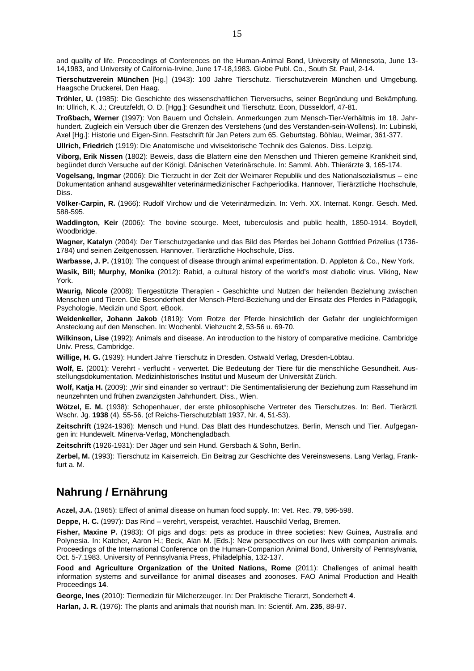and quality of life. Proceedings of Conferences on the Human-Animal Bond, University of Minnesota, June 13- 14,1983, and University of California-Irvine, June 17-18,1983. Globe Publ. Co., South St. Paul, 2-14.

**Tierschutzverein München** [Hg.] (1943): 100 Jahre Tierschutz. Tierschutzverein München und Umgebung. Haagsche Druckerei, Den Haag.

**Tröhler, U.** (1985): Die Geschichte des wissenschaftlichen Tierversuchs, seiner Begründung und Bekämpfung. In: Ullrich, K. J.; Creutzfeldt, O. D. [Hgg.]: Gesundheit und Tierschutz. Econ, Düsseldorf, 47-81.

**Troßbach, Werner** (1997): Von Bauern und Öchslein. Anmerkungen zum Mensch-Tier-Verhältnis im 18. Jahrhundert. Zugleich ein Versuch über die Grenzen des Verstehens (und des Verstanden-sein-Wollens). In: Lubinski, Axel [Hg.]: Historie und Eigen-Sinn. Festschrift für Jan Peters zum 65. Geburtstag. Böhlau, Weimar, 361-377.

**Ullrich, Friedrich** (1919): Die Anatomische und vivisektorische Technik des Galenos. Diss. Leipzig.

**Viborg, Erik Nissen** (1802): Beweis, dass die Blattern eine den Menschen und Thieren gemeine Krankheit sind, begündet durch Versuche auf der Königl. Dänischen Veterinärschule. In: Samml. Abh. Thierärzte **3**, 165-174.

**Vogelsang, Ingmar** (2006): Die Tierzucht in der Zeit der Weimarer Republik und des Nationalsozialismus – eine Dokumentation anhand ausgewählter veterinärmedizinischer Fachperiodika. Hannover, Tierärztliche Hochschule, Diss.

**Völker-Carpin, R.** (1966): Rudolf Virchow und die Veterinärmedizin. In: Verh. XX. Internat. Kongr. Gesch. Med. 588-595.

**Waddington, Keir** (2006): The bovine scourge. Meet, tuberculosis and public health, 1850-1914. Boydell, Woodbridge.

**Wagner, Katalyn** (2004): Der Tierschutzgedanke und das Bild des Pferdes bei Johann Gottfried Prizelius (1736- 1784) und seinen Zeitgenossen. Hannover, Tierärztliche Hochschule, Diss.

**Warbasse, J. P.** (1910): The conquest of disease through animal experimentation. D. Appleton & Co., New York.

**Wasik, Bill; Murphy, Monika** (2012): Rabid, a cultural history of the world's most diabolic virus. Viking, New York.

**Waurig, Nicole** (2008): Tiergestützte Therapien - Geschichte und Nutzen der heilenden Beziehung zwischen Menschen und Tieren. Die Besonderheit der Mensch-Pferd-Beziehung und der Einsatz des Pferdes in Pädagogik, Psychologie, Medizin und Sport. eBook.

**Weidenkeller, Johann Jakob** (1819): Vom Rotze der Pferde hinsichtlich der Gefahr der ungleichformigen Ansteckung auf den Menschen. In: Wochenbl. Viehzucht **2**, 53-56 u. 69-70.

**Wilkinson, Lise** (1992): Animals and disease. An introduction to the history of comparative medicine. Cambridge Univ. Press, Cambridge.

**Willige, H. G.** (1939): Hundert Jahre Tierschutz in Dresden. Ostwald Verlag, Dresden-Löbtau.

**Wolf, E.** (2001): Verehrt - verflucht - verwertet. Die Bedeutung der Tiere für die menschliche Gesundheit. Ausstellungsdokumentation. Medizinhistorisches Institut und Museum der Universität Zürich.

Wolf, Katja H. (2009): "Wir sind einander so vertraut": Die Sentimentalisierung der Beziehung zum Rassehund im neunzehnten und frühen zwanzigsten Jahrhundert. Diss., Wien.

**Wötzel, E. M.** (1938): Schopenhauer, der erste philosophische Vertreter des Tierschutzes. In: Berl. Tierärztl. Wschr. Jg. **1938** (4), 55-56. (cf Reichs-Tierschutzblatt 1937, Nr. **4**, 51-53).

**Zeitschrift** (1924-1936): Mensch und Hund. Das Blatt des Hundeschutzes. Berlin, Mensch und Tier. Aufgegangen in: Hundewelt. Minerva-Verlag, Mönchengladbach.

**Zeitschrift** (1926-1931): Der Jäger und sein Hund. Gersbach & Sohn, Berlin.

**Zerbel, M.** (1993): Tierschutz im Kaiserreich. Ein Beitrag zur Geschichte des Vereinswesens. Lang Verlag, Frankfurt a. M.

#### **Nahrung / Ernährung**

**Aczel, J.A.** (1965): Effect of animal disease on human food supply. In: Vet. Rec. **79**, 596-598.

**Deppe, H. C.** (1997): Das Rind – verehrt, verspeist, verachtet. Hauschild Verlag, Bremen.

**Fisher, Maxine P.** (1983): Of pigs and dogs: pets as produce in three societies: New Guinea, Australia and Polynesia. In: Katcher, Aaron H.; Beck, Alan M. [Eds.]: New perspectives on our lives with companion animals. Proceedings of the International Conference on the Human-Companion Animal Bond, University of Pennsylvania, Oct. 5-7.1983. University of Pennsylvania Press, Philadelphia, 132-137.

**Food and Agriculture Organization of the United Nations, Rome** (2011): Challenges of animal health information systems and surveillance for animal diseases and zoonoses. FAO Animal Production and Health Proceedings **14**.

**George, Ines** (2010): Tiermedizin für Milcherzeuger. In: Der Praktische Tierarzt, Sonderheft **4**.

**Harlan, J. R.** (1976): The plants and animals that nourish man. In: Scientif. Am. **235**, 88-97.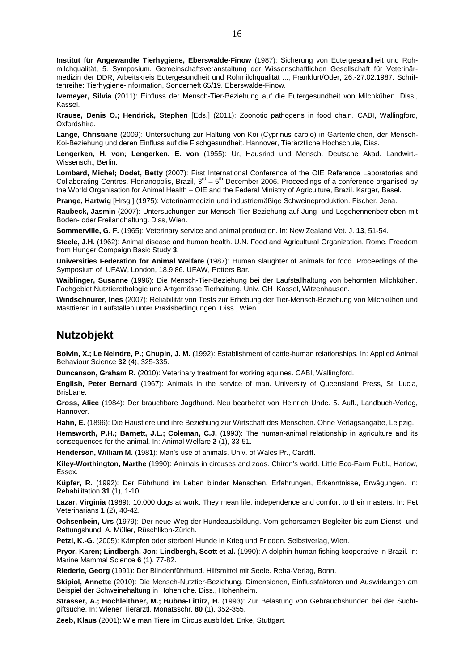**Institut für Angewandte Tierhygiene, Eberswalde-Finow** (1987): Sicherung von Eutergesundheit und Rohmilchqualität, 5. Symposium. Gemeinschaftsveranstaltung der Wissenschaftlichen Gesellschaft für Veterinärmedizin der DDR, Arbeitskreis Eutergesundheit und Rohmilchqualität ..., Frankfurt/Oder, 26.-27.02.1987. Schriftenreihe: Tierhygiene-Information, Sonderheft 65/19. Eberswalde-Finow.

**Ivemeyer, Silvia** (2011): Einfluss der Mensch-Tier-Beziehung auf die Eutergesundheit von Milchkühen. Diss., Kassel.

**Krause, Denis O.; Hendrick, Stephen** [Eds.] (2011): Zoonotic pathogens in food chain. CABI, Wallingford, Oxfordshire.

**Lange, Christiane** (2009): Untersuchung zur Haltung von Koi (Cyprinus carpio) in Gartenteichen, der Mensch-Koi-Beziehung und deren Einfluss auf die Fischgesundheit. Hannover, Tierärztliche Hochschule, Diss.

**Lengerken, H. von; Lengerken, E. von** (1955): Ur, Hausrind und Mensch. Deutsche Akad. Landwirt.- Wissensch., Berlin.

**Lombard, Michel; Dodet, Betty** (2007): First International Conference of the OIE Reference Laboratories and Collaborating Centres. Florianopolis, Brazil,  $3^{rd}$  –  $5^{th}$  December 2006. Proceedings of a conference organised by the World Organisation for Animal Health – OIE and the Federal Ministry of Agriculture, Brazil. Karger, Basel.

**Prange, Hartwig** [Hrsg.] (1975): Veterinärmedizin und industriemäßige Schweineproduktion. Fischer, Jena.

**Raubeck, Jasmin** (2007): Untersuchungen zur Mensch-Tier-Beziehung auf Jung- und Legehennenbetrieben mit Boden- oder Freilandhaltung. Diss, Wien.

**Sommerville, G. F.** (1965): Veterinary service and animal production. In: New Zealand Vet. J. **13**, 51-54.

**Steele, J.H.** (1962): Animal disease and human health. U.N. Food and Agricultural Organization, Rome, Freedom from Hunger Compaign Basic Study **3**.

**Universities Federation for Animal Welfare** (1987): Human slaughter of animals for food. Proceedings of the Symposium of UFAW, London, 18.9.86. UFAW, Potters Bar.

**Waiblinger, Susanne** (1996): Die Mensch-Tier-Beziehung bei der Laufstallhaltung von behornten Milchkühen. Fachgebiet Nutztierethologie und Artgemässe Tierhaltung, Univ. GH Kassel, Witzenhausen.

**Windschnurer, Ines** (2007): Reliabilität von Tests zur Erhebung der Tier-Mensch-Beziehung von Milchkühen und Masttieren in Laufställen unter Praxisbedingungen. Diss., Wien.

#### **Nutzobjekt**

**Boivin, X.; Le Neindre, P.; Chupin, J. M.** (1992): Establishment of cattle-human relationships. In: Applied Animal Behaviour Science **32** (4), 325-335.

**Duncanson, Graham R.** (2010): Veterinary treatment for working equines. CABI, Wallingford.

**English, Peter Bernard** (1967): Animals in the service of man. University of Queensland Press, St. Lucia, Brisbane.

**Gross, Alice** (1984): Der brauchbare Jagdhund. Neu bearbeitet von Heinrich Uhde. 5. Aufl., Landbuch-Verlag, Hannover.

**Hahn, E.** (1896): Die Haustiere und ihre Beziehung zur Wirtschaft des Menschen. Ohne Verlagsangabe, Leipzig..

**Hemsworth, P.H.; Barnett, J.L.; Coleman, C.J.** (1993): The human-animal relationship in agriculture and its consequences for the animal. In: Animal Welfare **2** (1), 33-51.

**Henderson, William M.** (1981): Man's use of animals. Univ. of Wales Pr., Cardiff.

**Kiley-Worthington, Marthe** (1990): Animals in circuses and zoos. Chiron's world. Little Eco-Farm Publ., Harlow, Essex.

**Küpfer, R.** (1992): Der Führhund im Leben blinder Menschen, Erfahrungen, Erkenntnisse, Erwägungen. In: Rehabilitation **31** (1), 1-10.

**Lazar, Virginia** (1989): 10.000 dogs at work. They mean life, independence and comfort to their masters. In: Pet Veterinarians **1** (2), 40-42.

**Ochsenbein, Urs** (1979): Der neue Weg der Hundeausbildung. Vom gehorsamen Begleiter bis zum Dienst- und Rettungshund. A. Müller, Rüschlikon-Zürich.

**Petzl, K.-G.** (2005): Kämpfen oder sterben! Hunde in Krieg und Frieden. Selbstverlag, Wien.

**Pryor, Karen; Lindbergh, Jon; Lindbergh, Scott et al.** (1990): A dolphin-human fishing kooperative in Brazil. In: Marine Mammal Science **6** (1), 77-82.

**Riederle, Georg** (1991): Der Blindenführhund. Hilfsmittel mit Seele. Reha-Verlag, Bonn.

**Skipiol, Annette** (2010): Die Mensch-Nutztier-Beziehung. Dimensionen, Einflussfaktoren und Auswirkungen am Beispiel der Schweinehaltung in Hohenlohe. Diss., Hohenheim.

**Strasser, A.; Hochleithner, M.; Bubna-Littitz, H.** (1993): Zur Belastung von Gebrauchshunden bei der Suchtgiftsuche. In: Wiener Tierärztl. Monatsschr. **80** (1), 352-355.

**Zeeb, Klaus** (2001): Wie man Tiere im Circus ausbildet. Enke, Stuttgart.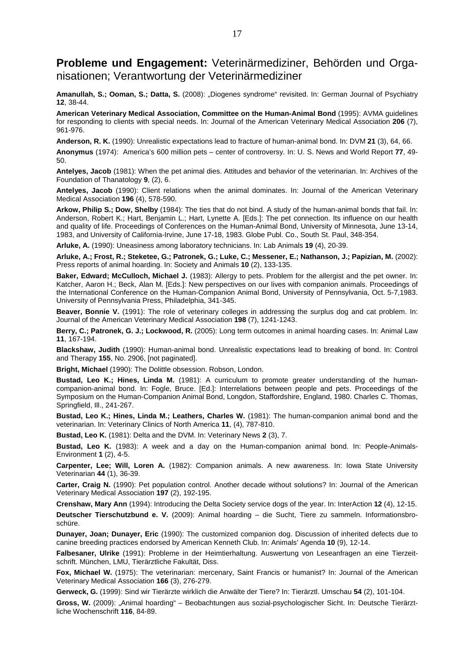#### **Probleme und Engagement:** Veterinärmediziner, Behörden und Organisationen; Verantwortung der Veterinärmediziner

Amanullah, S.; Ooman, S.; Datta, S. (2008): "Diogenes syndrome" revisited. In: German Journal of Psychiatry **12**, 38-44.

**American Veterinary Medical Association, Committee on the Human-Animal Bond** (1995): AVMA guidelines for responding to clients with special needs. In: Journal of the American Veterinary Medical Association **206** (7), 961-976.

**Anderson, R. K.** (1990): Unrealistic expectations lead to fracture of human-animal bond. In: DVM **21** (3), 64, 66.

**Anonymus** (1974): America's 600 million pets – center of controversy. In: U. S. News and World Report **77**, 49- 50.

**Antelyes, Jacob** (1981): When the pet animal dies. Attitudes and behavior of the veterinarian. In: Archives of the Foundation of Thanatology **9**, (2), 6.

**Antelyes, Jacob** (1990): Client relations when the animal dominates. In: Journal of the American Veterinary Medical Association **196** (4), 578-590.

**Arkow, Philip S.; Dow, Shelby** (1984): The ties that do not bind. A study of the human-animal bonds that fail. In: Anderson, Robert K.; Hart, Benjamin L.; Hart, Lynette A. [Eds.]: The pet connection. Its influence on our health and quality of life. Proceedings of Conferences on the Human-Animal Bond, University of Minnesota, June 13-14, 1983, and University of California-Irvine, June 17-18, 1983. Globe Publ. Co., South St. Paul, 348-354.

**Arluke, A.** (1990): Uneasiness among laboratory technicians. In: Lab Animals **19** (4), 20-39.

**Arluke, A.; Frost, R.; Steketee, G.; Patronek, G.; Luke, C.; Messener, E.; Nathanson, J.; Papizian, M.** (2002): Press reports of animal hoarding. In: Society and Animals **10** (2), 133-135.

**Baker, Edward; McCulloch, Michael J.** (1983): Allergy to pets. Problem for the allergist and the pet owner. In: Katcher, Aaron H.; Beck, Alan M. [Eds.]: New perspectives on our lives with companion animals. Proceedings of the International Conference on the Human-Companion Animal Bond, University of Pennsylvania, Oct. 5-7,1983. University of Pennsylvania Press, Philadelphia, 341-345.

**Beaver, Bonnie V.** (1991): The role of veterinary colleges in addressing the surplus dog and cat problem. In: Journal of the American Veterinary Medical Association **198** (7), 1241-1243.

**Berry, C.; Patronek, G. J.; Lockwood, R.** (2005): Long term outcomes in animal hoarding cases. In: Animal Law **11**, 167-194.

**Blackshaw, Judith** (1990): Human-animal bond. Unrealistic expectations lead to breaking of bond. In: Control and Therapy **155**, No. 2906, [not paginated].

**Bright, Michael** (1990): The Dolittle obsession. Robson, London.

**Bustad, Leo K.; Hines, Linda M.** (1981): A curriculum to promote greater understanding of the humancompanion-animal bond. In: Fogle, Bruce. [Ed.]: Interrelations between people and pets. Proceedings of the Symposium on the Human-Companion Animal Bond, Longdon, Staffordshire, England, 1980. Charles C. Thomas, Springfield, Ill., 241-267.

**Bustad, Leo K.; Hines, Linda M.; Leathers, Charles W.** (1981): The human-companion animal bond and the veterinarian. In: Veterinary Clinics of North America **11**, (4), 787-810.

**Bustad, Leo K.** (1981): Delta and the DVM. In: Veterinary News **2** (3), 7.

**Bustad, Leo K.** (1983): A week and a day on the Human-companion animal bond. In: People-Animals-Environment **1** (2), 4-5.

**Carpenter, Lee; Will, Loren A.** (1982): Companion animals. A new awareness. In: Iowa State University Veterinarian **44** (1), 36-39.

**Carter, Craig N.** (1990): Pet population control. Another decade without solutions? In: Journal of the American Veterinary Medical Association **197** (2), 192-195.

**Crenshaw, Mary Ann** (1994): Introducing the Delta Society service dogs of the year. In: InterAction **12** (4), 12-15.

**Deutscher Tierschutzbund e. V.** (2009): Animal hoarding – die Sucht, Tiere zu sammeln. Informationsbroschüre.

**Dunayer, Joan; Dunayer, Eric** (1990): The customized companion dog. Discussion of inherited defects due to canine breeding practices endorsed by American Kenneth Club. In: Animals' Agenda **10** (9), 12-14.

**Falbesaner, Ulrike** (1991): Probleme in der Heimtierhaltung. Auswertung von Leseanfragen an eine Tierzeitschrift. München, LMU, Tierärztliche Fakultät, Diss.

**Fox, Michael W.** (1975): The veterinarian: mercenary, Saint Francis or humanist? In: Journal of the American Veterinary Medical Association **166** (3), 276-279.

**Gerweck, G.** (1999): Sind wir Tierärzte wirklich die Anwälte der Tiere? In: Tierärztl. Umschau **54** (2), 101-104.

**Gross, W.** (2009): "Animal hoarding" – Beobachtungen aus sozial-psychologischer Sicht. In: Deutsche Tierärztliche Wochenschrift **116**, 84-89.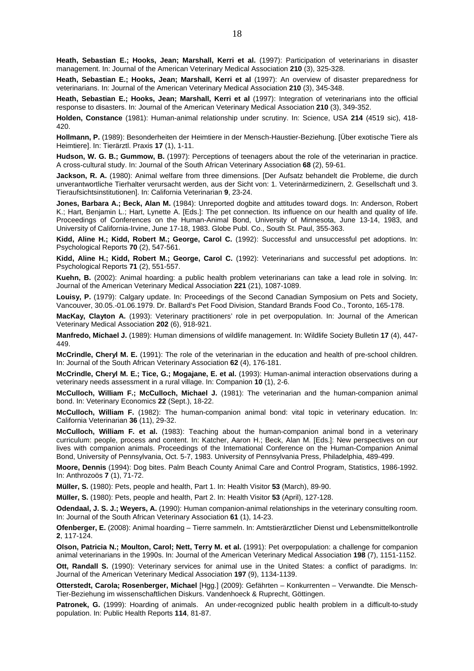**Heath, Sebastian E.; Hooks, Jean; Marshall, Kerri et al.** (1997): Participation of veterinarians in disaster management. In: Journal of the American Veterinary Medical Association **210** (3), 325-328.

**Heath, Sebastian E.; Hooks, Jean; Marshall, Kerri et al** (1997): An overview of disaster preparedness for veterinarians. In: Journal of the American Veterinary Medical Association **210** (3), 345-348.

**Heath, Sebastian E.; Hooks, Jean; Marshall, Kerri et al** (1997): Integration of veterinarians into the official response to disasters. In: Journal of the American Veterinary Medical Association **210** (3), 349-352.

**Holden, Constance** (1981): Human-animal relationship under scrutiny. In: Science, USA **214** (4519 sic), 418- 420.

**Hollmann, P.** (1989): Besonderheiten der Heimtiere in der Mensch-Haustier-Beziehung. [Über exotische Tiere als Heimtiere]. In: Tierärztl. Praxis **17** (1), 1-11.

**Hudson, W. G. B.; Gummow, B.** (1997): Perceptions of teenagers about the role of the veterinarian in practice. A cross-cultural study. In: Journal of the South African Veterinary Association **68** (2), 59-61.

**Jackson, R. A.** (1980): Animal welfare from three dimensions. [Der Aufsatz behandelt die Probleme, die durch unverantwortliche Tierhalter verursacht werden, aus der Sicht von: 1. Veterinärmedizinern, 2. Gesellschaft und 3. Tieraufsichtsinstitutionen]. In: California Veterinarian **9**, 23-24.

**Jones, Barbara A.; Beck, Alan M.** (1984): Unreported dogbite and attitudes toward dogs. In: Anderson, Robert K.; Hart, Benjamin L.; Hart, Lynette A. [Eds.]: The pet connection. Its influence on our health and quality of life. Proceedings of Conferences on the Human-Animal Bond, University of Minnesota, June 13-14, 1983, and University of California-Irvine, June 17-18, 1983. Globe Publ. Co., South St. Paul, 355-363.

**Kidd, Aline H.; Kidd, Robert M.; George, Carol C.** (1992): Successful and unsuccessful pet adoptions. In: Psychological Reports **70** (2), 547-561.

**Kidd, Aline H.; Kidd, Robert M.; George, Carol C.** (1992): Veterinarians and successful pet adoptions. In: Psychological Reports **71** (2), 551-557.

**Kuehn, B.** (2002): Animal hoarding: a public health problem veterinarians can take a lead role in solving. In: Journal of the American Veterinary Medical Association **221** (21), 1087-1089.

**Louisy, P.** (1979): Calgary update. In: Proceedings of the Second Canadian Symposium on Pets and Society, Vancouver, 30.05.-01.06.1979. Dr. Ballard's Pet Food Division, Standard Brands Food Co., Toronto, 165-178.

**MacKay, Clayton A.** (1993): Veterinary practitioners' role in pet overpopulation. In: Journal of the American Veterinary Medical Association **202** (6), 918-921.

**Manfredo, Michael J.** (1989): Human dimensions of wildlife management. In: Wildlife Society Bulletin **17** (4), 447- 449.

**McCrindle, Cheryl M. E.** (1991): The role of the veterinarian in the education and health of pre-school children. In: Journal of the South African Veterinary Association **62** (4), 176-181.

**McCrindle, Cheryl M. E.; Tice, G.; Mogajane, E. et al.** (1993): Human-animal interaction observations during a veterinary needs assessment in a rural village. In: Companion **10** (1), 2-6.

**McCulloch, William F.; McCulloch, Michael J.** (1981): The veterinarian and the human-companion animal bond. In: Veterinary Economics **22** (Sept.), 18-22.

**McCulloch, William F.** (1982): The human-companion animal bond: vital topic in veterinary education. In: California Veterinarian **36** (11), 29-32.

**McCulloch, William F. et al.** (1983): Teaching about the human-companion animal bond in a veterinary curriculum: people, process and content. In: Katcher, Aaron H.; Beck, Alan M. [Eds.]: New perspectives on our lives with companion animals. Proceedings of the International Conference on the Human-Companion Animal Bond, University of Pennsylvania, Oct. 5-7, 1983. University of Pennsylvania Press, Philadelphia, 489-499.

**Moore, Dennis** (1994): Dog bites. Palm Beach County Animal Care and Control Program, Statistics, 1986-1992. In: Anthrozoös **7** (1), 71-72.

**Müller, S.** (1980): Pets, people and health, Part 1. In: Health Visitor **53** (March), 89-90.

**Müller, S.** (1980): Pets, people and health, Part 2. In: Health Visitor **53** (April), 127-128.

**Odendaal, J. S. J.; Weyers, A.** (1990): Human companion-animal relationships in the veterinary consulting room. In: Journal of the South African Veterinary Association **61** (1), 14-23.

**Ofenberger, E.** (2008): Animal hoarding – Tierre sammeln. In: Amtstierärztlicher Dienst und Lebensmittelkontrolle **2**, 117-124.

**Olson, Patricia N.; Moulton, Carol; Nett, Terry M. et al.** (1991): Pet overpopulation: a challenge for companion animal veterinarians in the 1990s. In: Journal of the American Veterinary Medical Association **198** (7), 1151-1152.

**Ott, Randall S.** (1990): Veterinary services for animal use in the United States: a conflict of paradigms. In: Journal of the American Veterinary Medical Association **197** (9), 1134-1139.

**Otterstedt, Carola; Rosenberger, Michael** [Hgg.] (2009): Gefährten – Konkurrenten – Verwandte. Die Mensch-Tier-Beziehung im wissenschaftlichen Diskurs. Vandenhoeck & Ruprecht, Göttingen.

Patronek, G. (1999): Hoarding of animals. An under-recognized public health problem in a difficult-to-study population. In: Public Health Reports **114**, 81-87.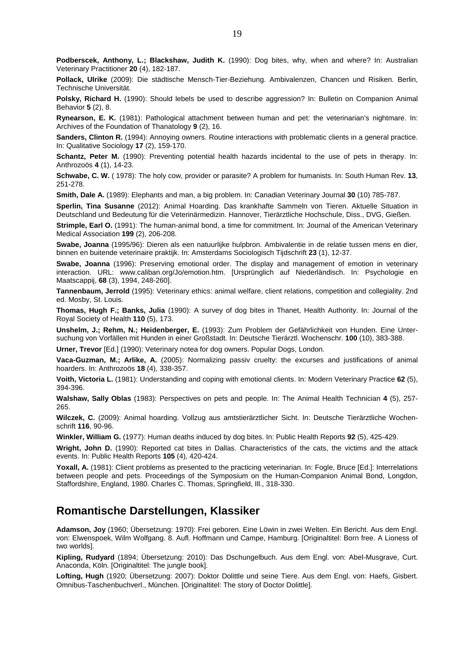**Podberscek, Anthony, L.; Blackshaw, Judith K.** (1990): Dog bites, why, when and where? In: Australian Veterinary Practitioner **20** (4), 182-187.

**Pollack, Ulrike** (2009): Die städtische Mensch-Tier-Beziehung. Ambivalenzen, Chancen und Risiken. Berlin, Technische Universität.

**Polsky, Richard H.** (1990): Should lebels be used to describe aggression? In: Bulletin on Companion Animal Behavior **5** (2), 8.

**Rynearson, E. K.** (1981): Pathological attachment between human and pet: the veterinarian's nightmare. In: Archives of the Foundation of Thanatology **9** (2), 16.

**Sanders, Clinton R.** (1994): Annoying owners. Routine interactions with problematic clients in a general practice. In: Qualitative Sociology **17** (2), 159-170.

**Schantz, Peter M.** (1990): Preventing potential health hazards incidental to the use of pets in therapy. In: Anthrozoös **4** (1), 14-23.

**Schwabe, C. W.** ( 1978): The holy cow, provider or parasite? A problem for humanists. In: South Human Rev. **13**, 251-278.

**Smith, Dale A.** (1989): Elephants and man, a big problem. In: Canadian Veterinary Journal **30** (10) 785-787.

**Sperlin, Tina Susanne** (2012): Animal Hoarding. Das krankhafte Sammeln von Tieren. Aktuelle Situation in Deutschland und Bedeutung für die Veterinärmedizin. Hannover, Tierärztliche Hochschule, Diss., DVG, Gießen.

**Strimple, Earl O.** (1991): The human-animal bond, a time for commitment. In: Journal of the American Veterinary Medical Association **199** (2), 206-208.

**Swabe, Joanna** (1995/96): Dieren als een natuurlijke hulpbron. Ambivalentie in de relatie tussen mens en dier, binnen en buitende veterinaire praktijk. In: Amsterdams Sociologisch Tijdschrift **23** (1), 12-37.

**Swabe, Joanna** (1996): Preserving emotional order. The display and management of emotion in veterinary interaction. URL: www.caliban.org/Jo/emotion.htm. [Ursprünglich auf Niederländisch. In: Psychologie en Maatscappij, **68** (3), 1994, 248-260].

**Tannenbaum, Jerrold** (1995): Veterinary ethics: animal welfare, client relations, competition and collegiality. 2nd ed. Mosby, St. Louis.

**Thomas, Hugh F.; Banks, Julia** (1990): A survey of dog bites in Thanet, Health Authority. In: Journal of the Royal Society of Health **110** (5), 173.

**Unshelm, J.; Rehm, N.; Heidenberger, E.** (1993): Zum Problem der Gefährlichkeit von Hunden. Eine Untersuchung von Vorfällen mit Hunden in einer Großstadt. In: Deutsche Tierärztl. Wochenschr. **100** (10), 383-388.

**Urner, Trevor** [Ed.] (1990): Veterinary notea for dog owners. Popular Dogs, London.

**Vaca-Guzman, M.; Arlike, A.** (2005): Normalizing passiv cruelty: the excurses and justifications of animal hoarders. In: Anthrozoös **18** (4), 338-357.

**Voith, Victoria L.** (1981): Understanding and coping with emotional clients. In: Modern Veterinary Practice **62** (5), 394-396.

**Walshaw, Sally Oblas** (1983): Perspectives on pets and people. In: The Animal Health Technician **4** (5), 257- 265.

**Wilczek, C.** (2009): Animal hoarding. Vollzug aus amtstierärztlicher Sicht. In: Deutsche Tierärztliche Wochenschrift **116**, 90-96.

**Winkler, William G.** (1977): Human deaths induced by dog bites. In: Public Health Reports **92** (5), 425-429.

**Wright, John D.** (1990): Reported cat bites in Dallas. Characteristics of the cats, the victims and the attack events. In: Public Health Reports **105** (4), 420-424.

Yoxall, A. (1981): Client problems as presented to the practicing veterinarian. In: Fogle, Bruce [Ed.]: Interrelations between people and pets. Proceedings of the Symposium on the Human-Companion Animal Bond, Longdon, Staffordshire, England, 1980. Charles C. Thomas, Springfield, Ill., 318-330.

#### **Romantische Darstellungen, Klassiker**

**Adamson, Joy** (1960; Übersetzung: 1970): Frei geboren. Eine Löwin in zwei Welten. Ein Bericht. Aus dem Engl. von: Elwenspoek, Wilm Wolfgang. 8. Aufl. Hoffmann und Campe, Hamburg. [Originaltitel: Born free. A Lioness of two worlds].

**Kipling, Rudyard** (1894; Übersetzung: 2010): Das Dschungelbuch. Aus dem Engl. von: Abel-Musgrave, Curt. Anaconda, Köln. [Originaltitel: The jungle book].

**Lofting, Hugh** (1920; Übersetzung: 2007): Doktor Dolittle und seine Tiere. Aus dem Engl. von: Haefs, Gisbert. Omnibus-Taschenbuchverl., München. [Originaltitel: The story of Doctor Dolittle].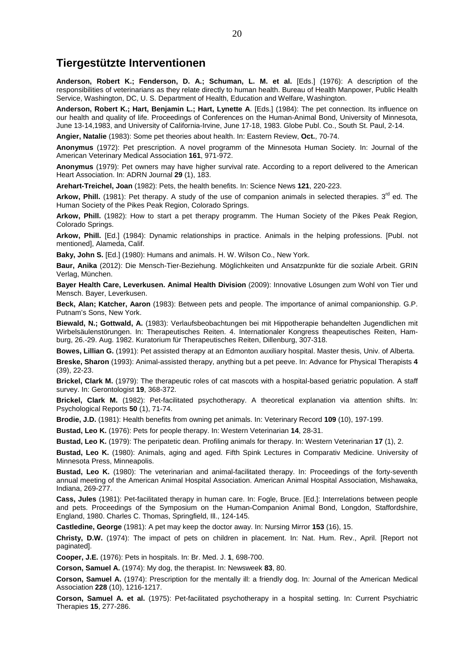#### **Tiergestützte Interventionen**

**Anderson, Robert K.; Fenderson, D. A.; Schuman, L. M. et al.** [Eds.] (1976): A description of the responsibilities of veterinarians as they relate directly to human health. Bureau of Health Manpower, Public Health Service, Washington, DC, U. S. Department of Health, Education and Welfare, Washington.

**Anderson, Robert K.; Hart, Benjamin L.; Hart, Lynette A**. [Eds.] (1984): The pet connection. Its influence on our health and quality of life. Proceedings of Conferences on the Human-Animal Bond, University of Minnesota, June 13-14,1983, and University of California-Irvine, June 17-18, 1983. Globe Publ. Co., South St. Paul, 2-14.

**Angier, Natalie** (1983): Some pet theories about health. In: Eastern Review, **Oct.**, 70-74.

**Anonymus** (1972): Pet prescription. A novel programm of the Minnesota Human Society. In: Journal of the American Veterinary Medical Association **161**, 971-972.

**Anonymus** (1979): Pet owners may have higher survival rate. According to a report delivered to the American Heart Association. In: ADRN Journal **29** (1), 183.

**Arehart-Treichel, Joan** (1982): Pets, the health benefits. In: Science News **121**, 220-223.

**Arkow, Phill.** (1981): Pet therapy. A study of the use of companion animals in selected therapies.  $3<sup>rd</sup>$  ed. The Human Society of the Pikes Peak Region, Colorado Springs.

**Arkow, Phill.** (1982): How to start a pet therapy programm. The Human Society of the Pikes Peak Region, Colorado Springs.

**Arkow, Phill.** [Ed.] (1984): Dynamic relationships in practice. Animals in the helping professions. [Publ. not mentioned], Alameda, Calif.

**Baky, John S.** [Ed.] (1980): Humans and animals. H. W. Wilson Co., New York.

**Baur, Anika** (2012): Die Mensch-Tier-Beziehung. Möglichkeiten und Ansatzpunkte für die soziale Arbeit. GRIN Verlag, München.

**Bayer Health Care, Leverkusen. Animal Health Division** (2009): Innovative Lösungen zum Wohl von Tier und Mensch. Bayer, Leverkusen.

**Beck, Alan; Katcher, Aaron** (1983): Between pets and people. The importance of animal companionship. G.P. Putnam's Sons, New York.

**Biewald, N.; Gottwald, A.** (1983): Verlaufsbeobachtungen bei mit Hippotherapie behandelten Jugendlichen mit Wirbelsäulenstörungen. In: Therapeutisches Reiten. 4. Internationaler Kongress theapeutisches Reiten, Hamburg, 26.-29. Aug. 1982. Kuratorium für Therapeutisches Reiten, Dillenburg, 307-318.

**Bowes, Lillian G.** (1991): Pet assisted therapy at an Edmonton auxiliary hospital. Master thesis, Univ. of Alberta.

**Breske, Sharon** (1993): Animal-assisted therapy, anything but a pet peeve. In: Advance for Physical Therapists **4** (39), 22-23.

**Brickel, Clark M.** (1979): The therapeutic roles of cat mascots with a hospital-based geriatric population. A staff survey. In: Gerontologist **19**, 368-372.

**Brickel, Clark M.** (1982): Pet-facilitated psychotherapy. A theoretical explanation via attention shifts. In: Psychological Reports **50** (1), 71-74.

**Brodie, J.D.** (1981): Health benefits from owning pet animals. In: Veterinary Record **109** (10), 197-199.

**Bustad, Leo K.** (1976): Pets for people therapy. In: Western Veterinarian **14**, 28-31.

**Bustad, Leo K.** (1979): The peripatetic dean. Profiling animals for therapy. In: Western Veterinarian **17** (1), 2.

**Bustad, Leo K.** (1980): Animals, aging and aged. Fifth Spink Lectures in Comparativ Medicine. University of Minnesota Press, Minneapolis.

**Bustad, Leo K.** (1980): The veterinarian and animal-facilitated therapy. In: Proceedings of the forty-seventh annual meeting of the American Animal Hospital Association. American Animal Hospital Association, Mishawaka, Indiana, 269-277.

**Cass, Jules** (1981): Pet-facilitated therapy in human care. In: Fogle, Bruce. [Ed.]: Interrelations between people and pets. Proceedings of the Symposium on the Human-Companion Animal Bond, Longdon, Staffordshire, England, 1980. Charles C. Thomas, Springfield, Ill., 124-145.

**Castledine, George** (1981): A pet may keep the doctor away. In: Nursing Mirror **153** (16), 15.

**Christy, D.W.** (1974): The impact of pets on children in placement. In: Nat. Hum. Rev., April. [Report not paginated].

**Cooper, J.E.** (1976): Pets in hospitals. In: Br. Med. J. **1**, 698-700.

**Corson, Samuel A.** (1974): My dog, the therapist. In: Newsweek **83**, 80.

**Corson, Samuel A.** (1974): Prescription for the mentally ill: a friendly dog. In: Journal of the American Medical Association **228** (10), 1216-1217.

**Corson, Samuel A. et al.** (1975): Pet-facilitated psychotherapy in a hospital setting. In: Current Psychiatric Therapies **15**, 277-286.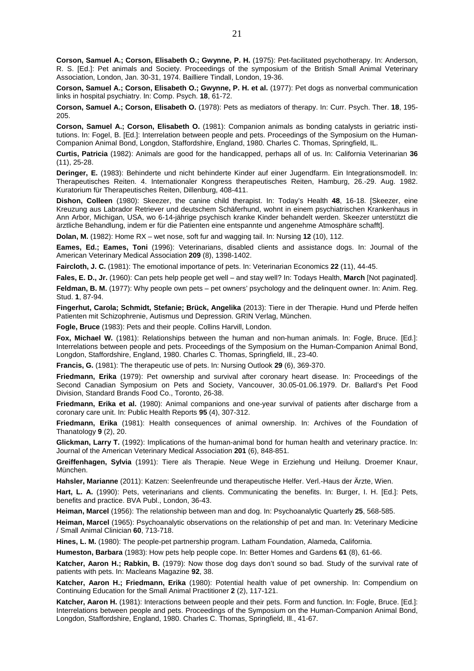**Corson, Samuel A.; Corson, Elisabeth O.; Gwynne, P. H.** (1975): Pet-facilitated psychotherapy. In: Anderson, R. S. [Ed.]: Pet animals and Society. Proceedings of the symposium of the British Small Animal Veterinary Association, London, Jan. 30-31, 1974. Bailliere Tindall, London, 19-36.

**Corson, Samuel A.; Corson, Elisabeth O.; Gwynne, P. H. et al.** (1977): Pet dogs as nonverbal communication links in hospital psychiatry. In: Comp. Psych. **18**, 61-72.

**Corson, Samuel A.; Corson, Elisabeth O.** (1978): Pets as mediators of therapy. In: Curr. Psych. Ther. **18**, 195- 205.

**Corson, Samuel A.; Corson, Elisabeth O.** (1981): Companion animals as bonding catalysts in geriatric institutions. In: Fogel, B. [Ed.]: Interrelation between people and pets. Proceedings of the Symposium on the Human-Companion Animal Bond, Longdon, Staffordshire, England, 1980. Charles C. Thomas, Springfield, IL.

**Curtis, Patricia** (1982): Animals are good for the handicapped, perhaps all of us. In: California Veterinarian **36** (11), 25-28.

**Deringer, E.** (1983): Behinderte und nicht behinderte Kinder auf einer Jugendfarm. Ein Integrationsmodell. In: Therapeutisches Reiten. 4. Internationaler Kongress therapeutisches Reiten, Hamburg, 26.-29. Aug. 1982. Kuratorium für Therapeutisches Reiten, Dillenburg, 408-411.

**Dishon, Colleen** (1980): Skeezer, the canine child therapist. In: Today's Health **48**, 16-18. [Skeezer, eine Kreuzung aus Labrador Retriever und deutschem Schäferhund, wohnt in einem psychiatrischen Krankenhaus in Ann Arbor, Michigan, USA, wo 6-14-jährige psychisch kranke Kinder behandelt werden. Skeezer unterstützt die ärztliche Behandlung, indem er für die Patienten eine entspannte und angenehme Atmosphäre schafft].

**Dolan, M.** (1982): Home RX – wet nose, soft fur and wagging tail. In: Nursing **12** (10), 112.

**Eames, Ed.; Eames, Toni** (1996): Veterinarians, disabled clients and assistance dogs. In: Journal of the American Veterinary Medical Association **209** (8), 1398-1402.

**Faircloth, J. C.** (1981): The emotional importance of pets. In: Veterinarian Economics **22** (11), 44-45.

**Fales, E. D., Jr.** (1960): Can pets help people get well – and stay well? In: Todays Health, **March** [Not paginated].

**Feldman, B. M.** (1977): Why people own pets – pet owners' psychology and the delinguent owner. In: Anim. Reg. Stud. **1**, 87-94.

**Fingerhut, Carola; Schmidt, Stefanie; Brück, Angelika** (2013): Tiere in der Therapie. Hund und Pferde helfen Patienten mit Schizophrenie, Autismus und Depression. GRIN Verlag, München.

**Fogle, Bruce** (1983): Pets and their people. Collins Harvill, London.

**Fox, Michael W.** (1981): Relationships between the human and non-human animals. In: Fogle, Bruce. [Ed.]: Interrelations between people and pets. Proceedings of the Symposium on the Human-Companion Animal Bond, Longdon, Staffordshire, England, 1980. Charles C. Thomas, Springfield, Ill., 23-40.

**Francis, G.** (1981): The therapeutic use of pets. In: Nursing Outlook **29** (6), 369-370.

**Friedmann, Erika** (1979): Pet ownership and survival after coronary heart disease. In: Proceedings of the Second Canadian Symposium on Pets and Society, Vancouver, 30.05-01.06.1979. Dr. Ballard's Pet Food Division, Standard Brands Food Co., Toronto, 26-38.

**Friedmann, Erika et al.** (1980): Animal companions and one-year survival of patients after discharge from a coronary care unit. In: Public Health Reports **95** (4), 307-312.

**Friedmann, Erika** (1981): Health consequences of animal ownership. In: Archives of the Foundation of Thanatology **9** (2), 20.

**Glickman, Larry T.** (1992): Implications of the human-animal bond for human health and veterinary practice. In: Journal of the American Veterinary Medical Association **201** (6), 848-851.

**Greiffenhagen, Sylvia** (1991): Tiere als Therapie. Neue Wege in Erziehung und Heilung. Droemer Knaur, München.

**Hahsler, Marianne** (2011): Katzen: Seelenfreunde und therapeutische Helfer. Verl.-Haus der Ärzte, Wien.

**Hart, L. A.** (1990): Pets, veterinarians and clients. Communicating the benefits. In: Burger, I. H. [Ed.]: Pets, benefits and practice. BVA Publ., London, 36-43.

**Heiman, Marcel** (1956): The relationship between man and dog. In: Psychoanalytic Quarterly **25**, 568-585.

**Heiman, Marcel** (1965): Psychoanalytic observations on the relationship of pet and man. In: Veterinary Medicine / Small Animal Clinician **60**, 713-718.

**Hines, L. M.** (1980): The people-pet partnership program. Latham Foundation, Alameda, California.

**Humeston, Barbara** (1983): How pets help people cope. In: Better Homes and Gardens **61** (8), 61-66.

**Katcher, Aaron H.; Rabkin, B.** (1979): Now those dog days don't sound so bad. Study of the survival rate of patients with pets. In: Macleans Magazine **92**, 38.

**Katcher, Aaron H.; Friedmann, Erika** (1980): Potential health value of pet ownership. In: Compendium on Continuing Education for the Small Animal Practitioner **2** (2), 117-121.

**Katcher, Aaron H.** (1981): Interactions between people and their pets. Form and function. In: Fogle, Bruce. [Ed.]: Interrelations between people and pets. Proceedings of the Symposium on the Human-Companion Animal Bond, Longdon, Staffordshire, England, 1980. Charles C. Thomas, Springfield, Ill., 41-67.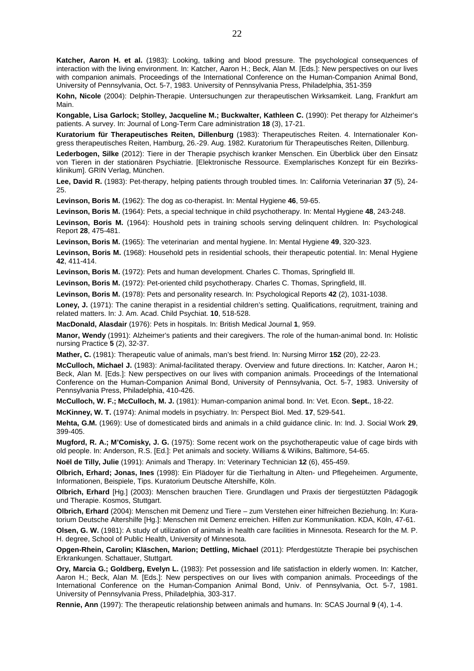**Kohn, Nicole** (2004): Delphin-Therapie. Untersuchungen zur therapeutischen Wirksamkeit. Lang, Frankfurt am Main.

**Kongable, Lisa Garlock; Stolley, Jacqueline M.; Buckwalter, Kathleen C.** (1990): Pet therapy for Alzheimer's patients. A survey. In: Journal of Long-Term Care administration **18** (3), 17-21.

**Kuratorium für Therapeutisches Reiten, Dillenburg** (1983): Therapeutisches Reiten. 4. Internationaler Kongress therapeutisches Reiten, Hamburg, 26.-29. Aug. 1982. Kuratorium für Therapeutisches Reiten, Dillenburg.

**Lederbogen, Silke** (2012): Tiere in der Therapie psychisch kranker Menschen. Ein Überblick über den Einsatz von Tieren in der stationären Psychiatrie. [Elektronische Ressource. Exemplarisches Konzept für ein Bezirksklinikum]. GRIN Verlag, München.

**Lee, David R.** (1983): Pet-therapy, helping patients through troubled times. In: California Veterinarian **37** (5), 24- 25.

**Levinson, Boris M.** (1962): The dog as co-therapist. In: Mental Hygiene **46**, 59-65.

**Levinson, Boris M.** (1964): Pets, a special technique in child psychotherapy. In: Mental Hygiene **48**, 243-248.

**Levinson, Boris M.** (1964): Houshold pets in training schools serving delinquent children. In: Psychological Report **28**, 475-481.

**Levinson, Boris M.** (1965): The veterinarian and mental hygiene. In: Mental Hygiene **49**, 320-323.

Levinson, Boris M. (1968): Household pets in residential schools, their therapeutic potential. In: Menal Hygiene **42**, 411-414.

**Levinson, Boris M.** (1972): Pets and human development. Charles C. Thomas, Springfield Ill.

**Levinson, Boris M.** (1972): Pet-oriented child psychotherapy. Charles C. Thomas, Springfield, Ill.

**Levinson, Boris M.** (1978): Pets and personality research. In: Psychological Reports **42** (2), 1031-1038.

Lonev. J. (1971): The canine therapist in a residential children's setting. Qualifications, reqruitment, training and related matters. In: J. Am. Acad. Child Psychiat. **10**, 518-528.

**MacDonald, Alasdair** (1976): Pets in hospitals. In: British Medical Journal **1**, 959.

**Manor, Wendy** (1991): Alzheimer's patients and their caregivers. The role of the human-animal bond. In: Holistic nursing Practice **5** (2), 32-37.

**Mather, C.** (1981): Therapeutic value of animals, man's best friend. In: Nursing Mirror **152** (20), 22-23.

**McCulloch, Michael J.** (1983): Animal-facilitated therapy. Overview and future directions. In: Katcher, Aaron H.; Beck, Alan M. [Eds.]: New perspectives on our lives with companion animals. Proceedings of the International Conference on the Human-Companion Animal Bond, University of Pennsylvania, Oct. 5-7, 1983. University of Pennsylvania Press, Philadelphia, 410-426.

**McCulloch, W. F.; McCulloch, M. J.** (1981): Human-companion animal bond. In: Vet. Econ. **Sept.**, 18-22.

**McKinney, W. T.** (1974): Animal models in psychiatry. In: Perspect Biol. Med. **17**, 529-541.

**Mehta, G.M.** (1969): Use of domesticated birds and animals in a child guidance clinic. In: Ind. J. Social Work **29**, 399-405.

**Mugford, R. A.; M'Comisky, J. G.** (1975): Some recent work on the psychotherapeutic value of cage birds with old people. In: Anderson, R.S. [Ed.]: Pet animals and society. Williams & Wilkins, Baltimore, 54-65.

**Noël de Tilly, Julie** (1991): Animals and Therapy. In: Veterinary Technician **12** (6), 455-459.

**Olbrich, Erhard; Jonas, Ines** (1998): Ein Plädoyer für die Tierhaltung in Alten- und Pflegeheimen. Argumente, Informationen, Beispiele, Tips. Kuratorium Deutsche Altershilfe, Köln.

**Olbrich, Erhard** [Hg.] (2003): Menschen brauchen Tiere. Grundlagen und Praxis der tiergestützten Pädagogik und Therapie. Kosmos, Stuttgart.

**Olbrich, Erhard** (2004): Menschen mit Demenz und Tiere – zum Verstehen einer hilfreichen Beziehung. In: Kuratorium Deutsche Altershilfe [Hg.]: Menschen mit Demenz erreichen. Hilfen zur Kommunikation. KDA, Köln, 47-61.

**Olsen, G. W.** (1981): A study of utilization of animals in health care facilities in Minnesota. Research for the M. P. H. degree, School of Public Health, University of Minnesota.

**Opgen-Rhein, Carolin; Kläschen, Marion; Dettling, Michael** (2011): Pferdgestützte Therapie bei psychischen Erkrankungen. Schattauer, Stuttgart.

**Ory, Marcia G.; Goldberg, Evelyn L.** (1983): Pet possession and life satisfaction in elderly women. In: Katcher, Aaron H.; Beck, Alan M. [Eds.]: New perspectives on our lives with companion animals. Proceedings of the International Conference on the Human-Companion Animal Bond, Univ. of Pennsylvania, Oct. 5-7, 1981. University of Pennsylvania Press, Philadelphia, 303-317.

**Rennie, Ann** (1997): The therapeutic relationship between animals and humans. In: SCAS Journal **9** (4), 1-4.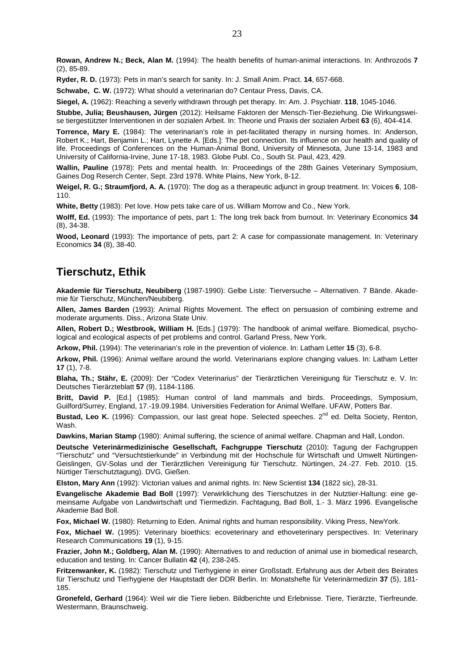**Rowan, Andrew N.; Beck, Alan M.** (1994): The health benefits of human-animal interactions. In: Anthrozoös **7** (2), 85-89.

**Ryder, R. D.** (1973): Pets in man's search for sanity. In: J. Small Anim. Pract. **14**, 657-668.

**Schwabe, C. W.** (1972): What should a veterinarian do? Centaur Press, Davis, CA.

**Siegel, A.** (1962): Reaching a severly withdrawn through pet therapy. In: Am. J. Psychiatr. **118**, 1045-1046.

**Stubbe, Julia; Beushausen, Jürgen** (2012): Heilsame Faktoren der Mensch-Tier-Beziehung. Die Wirkungsweise tiergestützter Interventionen in der sozialen Arbeit. In: Theorie und Praxis der sozialen Arbeit **63** (6), 404-414.

**Torrence, Mary E.** (1984): The veterinarian's role in pet-facilitated therapy in nursing homes. In: Anderson, Robert K.; Hart, Benjamin L.; Hart, Lynette A. [Eds.]: The pet connection. Its influence on our health and quality of life. Proceedings of Conferences on the Human-Animal Bond, University of Minnesota, June 13-14, 1983 and University of California-Irvine, June 17-18, 1983. Globe Publ. Co., South St. Paul, 423, 429.

**Wallin, Pauline** (1978): Pets and mental health. In: Proceedings of the 28th Gaines Veterinary Symposium, Gaines Dog Reserch Center, Sept. 23rd 1978. White Plains, New York, 8-12.

**Weigel, R. G.; Straumfjord, A. A.** (1970): The dog as a therapeutic adjunct in group treatment. In: Voices **6**, 108- 110.

**White, Betty** (1983): Pet love. How pets take care of us. William Morrow and Co., New York.

**Wolff, Ed.** (1993): The importance of pets, part 1: The long trek back from burnout. In: Veterinary Economics **34** (8), 34-38.

**Wood, Leonard** (1993): The importance of pets, part 2: A case for compassionate management. In: Veterinary Economics **34** (8), 38-40.

#### **Tierschutz, Ethik**

**Akademie für Tierschutz, Neubiberg** (1987-1990): Gelbe Liste: Tierversuche – Alternativen. 7 Bände. Akademie für Tierschutz, München/Neubiberg.

**Allen, James Barden** (1993): Animal Rights Movement. The effect on persuasion of combining extreme and moderate arguments. Diss., Arizona State Univ.

**Allen, Robert D.; Westbrook, William H.** [Eds.] (1979): The handbook of animal welfare. Biomedical, psychological and ecological aspects of pet problems and control. Garland Press, New York.

**Arkow, Phil.** (1994): The veterinarian's role in the prevention of violence. In: Latham Letter **15** (3), 6-8.

**Arkow, Phil.** (1996): Animal welfare around the world. Veterinarians explore changing values. In: Latham Letter **17** (1), 7-8.

**Blaha, Th.; Stähr, E.** (2009): Der "Codex Veterinarius" der Tierärztlichen Vereinigung für Tierschutz e. V. In: Deutsches Tierärzteblatt **57** (9), 1184-1186.

**Britt, David P.** [Ed.] (1985): Human control of land mammals and birds. Proceedings, Symposium, Guilford/Surrey, England, 17.-19.09.1984. Universities Federation for Animal Welfare. UFAW, Potters Bar.

**Bustad, Leo K.** (1996): Compassion, our last great hope. Selected speeches. 2<sup>nd</sup> ed. Delta Society, Renton, Wash.

**Dawkins, Marian Stamp** (1980): Animal suffering, the science of animal welfare. Chapman and Hall, London.

**Deutsche Veterinärmedizinische Gesellschaft, Fachgruppe Tierschutz** (2010): Tagung der Fachgruppen "Tierschutz" und "Versuchtstierkunde" in Verbindung mit der Hochschule für Wirtschaft und Umwelt Nürtingen-Geislingen, GV-Solas und der Tierärztlichen Vereinigung für Tierschutz. Nürtingen, 24.-27. Feb. 2010. (15. Nürtiger Tierschutztagung). DVG, Gießen.

**Elston, Mary Ann** (1992): Victorian values and animal rights. In: New Scientist **134** (1822 sic), 28-31.

**Evangelische Akademie Bad Boll** (1997): Verwirklichung des Tierschutzes in der Nutztier-Haltung: eine gemeinsame Aufgabe von Landwirtschaft und Tiermedizin. Fachtagung, Bad Boll, 1.- 3. März 1996. Evangelische Akademie Bad Boll.

**Fox, Michael W.** (1980): Returning to Eden. Animal rights and human responsibility. Viking Press, NewYork.

**Fox, Michael W.** (1995): Veterinary bioethics: ecoveterinary and ethoveterinary perspectives. In: Veterinary Research Communications **19** (1), 9-15.

**Frazier, John M.; Goldberg, Alan M.** (1990): Alternatives to and reduction of animal use in biomedical research, education and testing. In: Cancer Bullatin **42** (4), 238-245.

**Fritzenwanker, K.** (1982): Tierschutz und Tierhygiene in einer Großstadt. Erfahrung aus der Arbeit des Beirates für Tierschutz und Tierhygiene der Hauptstadt der DDR Berlin. In: Monatshefte für Veterinärmedizin **37** (5), 181- 185.

**Gronefeld, Gerhard** (1964): Weil wir die Tiere lieben. Bildberichte und Erlebnisse. Tiere, Tierärzte, Tierfreunde. Westermann, Braunschweig.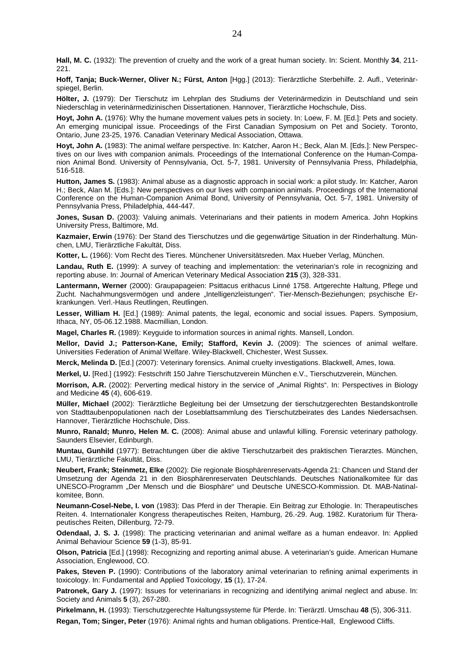**Hall, M. C.** (1932): The prevention of cruelty and the work of a great human society. In: Scient. Monthly **34**, 211- 221.

**Hoff, Tanja; Buck-Werner, Oliver N.; Fürst, Anton** [Hgg.] (2013): Tierärztliche Sterbehilfe. 2. Aufl., Veterinärspiegel, Berlin.

**Hölter, J.** (1979): Der Tierschutz im Lehrplan des Studiums der Veterinärmedizin in Deutschland und sein Niederschlag in veterinärmedizinischen Dissertationen. Hannover, Tierärztliche Hochschule, Diss.

**Hoyt, John A.** (1976): Why the humane movement values pets in society. In: Loew, F. M. [Ed.]: Pets and society. An emerging municipal issue. Proceedings of the First Canadian Symposium on Pet and Society. Toronto, Ontario, June 23-25, 1976. Canadian Veterinary Medical Association, Ottawa.

**Hoyt, John A.** (1983): The animal welfare perspective. In: Katcher, Aaron H.; Beck, Alan M. [Eds.]: New Perspectives on our lives with companion animals. Proceedings of the International Conference on the Human-Companion Animal Bond. University of Pennsylvania, Oct. 5-7, 1981. University of Pennsylvania Press, Philadelphia, 516-518.

**Hutton, James S.** (1983): Animal abuse as a diagnostic approach in social work: a pilot study. In: Katcher, Aaron H.; Beck, Alan M. [Eds.]: New perspectives on our lives with companion animals. Proceedings of the International Conference on the Human-Companion Animal Bond, University of Pennsylvania, Oct. 5-7, 1981. University of Pennsylvania Press, Philadelphia, 444-447.

**Jones, Susan D.** (2003): Valuing animals. Veterinarians and their patients in modern America. John Hopkins University Press, Baltimore, Md.

**Kazmaier, Erwin** (1976): Der Stand des Tierschutzes und die gegenwärtige Situation in der Rinderhaltung. München, LMU, Tierärztliche Fakultät, Diss.

**Kotter, L.** (1966): Vom Recht des Tieres. Münchener Universitätsreden. Max Hueber Verlag, München.

**Landau, Ruth E.** (1999): A survey of teaching and implementation: the veterinarian's role in recognizing and reporting abuse. In: Journal of American Veterinary Medical Association **215** (3), 328-331.

**Lantermann, Werner** (2000): Graupapageien: Psittacus erithacus Linné 1758. Artgerechte Haltung, Pflege und Zucht. Nachahmungsvermögen und andere "Intelligenzleistungen". Tier-Mensch-Beziehungen; psychische Erkrankungen. Verl.-Haus Reutlingen, Reutlingen.

**Lesser, William H.** [Ed.] (1989): Animal patents, the legal, economic and social issues. Papers. Symposium, Ithaca, NY, 05-06.12.1988. Macmillian, London.

**Magel, Charles R.** (1989): Keyguide to information sources in animal rights. Mansell, London.

**Mellor, David J.; Patterson-Kane, Emily; Stafford, Kevin J.** (2009): The sciences of animal welfare. Universities Federation of Animal Welfare. Wiley-Blackwell, Chichester, West Sussex.

**Merck, Melinda D.** [Ed.] (2007): Veterinary forensics. Animal cruelty investigations. Blackwell, Ames, Iowa.

**Merkel, U.** [Red.] (1992): Festschrift 150 Jahre Tierschutzverein München e.V., Tierschutzverein, München.

**Morrison, A.R.** (2002): Perverting medical history in the service of "Animal Rights". In: Perspectives in Biology and Medicine **45** (4), 606-619.

**Müller, Michael** (2002): Tierärztliche Begleitung bei der Umsetzung der tierschutzgerechten Bestandskontrolle von Stadttaubenpopulationen nach der Loseblattsammlung des Tierschutzbeirates des Landes Niedersachsen. Hannover, Tierärztliche Hochschule, Diss.

**Munro, Ranald; Munro, Helen M. C.** (2008): Animal abuse and unlawful killing. Forensic veterinary pathology. Saunders Elsevier, Edinburgh.

**Muntau, Gunhild** (1977): Betrachtungen über die aktive Tierschutzarbeit des praktischen Tierarztes. München, LMU, Tierärztliche Fakultät, Diss.

**Neubert, Frank; Steinmetz, Elke** (2002): Die regionale Biosphärenreservats-Agenda 21: Chancen und Stand der Umsetzung der Agenda 21 in den Biosphärenreservaten Deutschlands. Deutsches Nationalkomitee für das UNESCO-Programm "Der Mensch und die Biosphäre" und Deutsche UNESCO-Kommission. Dt. MAB-Natinalkomitee, Bonn.

**Neumann-Cosel-Nebe, I. von** (1983): Das Pferd in der Therapie. Ein Beitrag zur Ethologie. In: Therapeutisches Reiten. 4. Internationaler Kongress therapeutisches Reiten, Hamburg, 26.-29. Aug. 1982. Kuratorium für Therapeutisches Reiten, Dillenburg, 72-79.

**Odendaal, J. S. J.** (1998): The practicing veterinarian and animal welfare as a human endeavor. In: Applied Animal Behaviour Science **59** (1-3), 85-91.

**Olson, Patricia** [Ed.] (1998): Recognizing and reporting animal abuse. A veterinarian's guide. American Humane Association, Englewood, CO.

**Pakes, Steven P.** (1990): Contributions of the laboratory animal veterinarian to refining animal experiments in toxicology. In: Fundamental and Applied Toxicology, **15** (1), 17-24.

**Patronek, Gary J.** (1997): Issues for veterinarians in recognizing and identifying animal neglect and abuse. In: Society and Animals **5** (3), 267-280.

**Pirkelmann, H.** (1993): Tierschutzgerechte Haltungssysteme für Pferde. In: Tierärztl. Umschau **48** (5), 306-311. **Regan, Tom; Singer, Peter** (1976): Animal rights and human obligations. Prentice-Hall, Englewood Cliffs.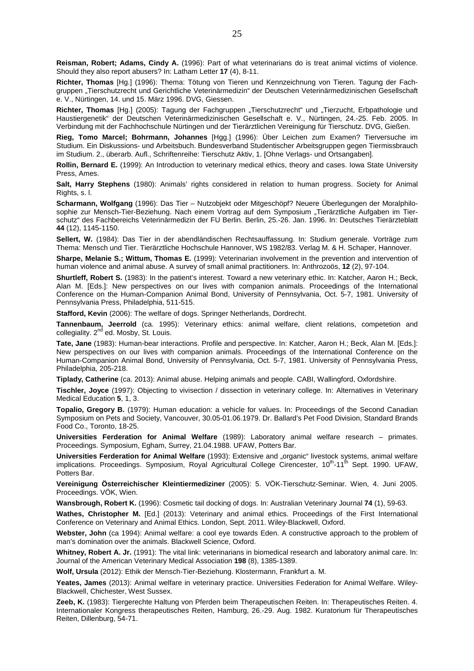**Reisman, Robert; Adams, Cindy A.** (1996): Part of what veterinarians do is treat animal victims of violence. Should they also report abusers? In: Latham Letter **17** (4), 8-11.

**Richter, Thomas** [Hg.] (1996): Thema: Tötung von Tieren und Kennzeichnung von Tieren. Tagung der Fachgruppen "Tierschutzrecht und Gerichtliche Veterinärmedizin" der Deutschen Veterinärmedizinischen Gesellschaft e. V., Nürtingen, 14. und 15. März 1996. DVG, Giessen.

Richter, Thomas [Hg.] (2005): Tagung der Fachgruppen "Tierschutzrecht" und "Tierzucht, Erbpathologie und Haustiergenetik" der Deutschen Veterinärmedizinischen Gesellschaft e. V., Nürtingen, 24.-25. Feb. 2005. In Verbindung mit der Fachhochschule Nürtingen und der Tierärztlichen Vereinigung für Tierschutz. DVG, Gießen.

**Rieg, Tomo Marcel; Bohrmann, Johannes** [Hgg.] (1996): Über Leichen zum Examen? Tierversuche im Studium. Ein Diskussions- und Arbeitsbuch. Bundesverband Studentischer Arbeitsgruppen gegen Tiermissbrauch im Studium. 2., überarb. Aufl., Schriftenreihe: Tierschutz Aktiv, 1. [Ohne Verlags- und Ortsangaben].

**Rollin, Bernard E.** (1999): An Introduction to veterinary medical ethics, theory and cases. Iowa State University Press, Ames.

**Salt, Harry Stephens** (1980): Animals' rights considered in relation to human progress. Society for Animal Rights, s. l.

**Scharmann, Wolfgang** (1996): Das Tier – Nutzobjekt oder Mitgeschöpf? Neuere Überlegungen der Moralphilosophie zur Mensch-Tier-Beziehung. Nach einem Vortrag auf dem Symposium "Tierärztliche Aufgaben im Tierschutz" des Fachbereichs Veterinärmedizin der FU Berlin. Berlin, 25.-26. Jan. 1996. In: Deutsches Tierärzteblatt **44** (12), 1145-1150.

**Sellert, W.** (1984): Das Tier in der abendländischen Rechtsauffassung. In: Studium generale. Vorträge zum Thema: Mensch und Tier. Tierärztliche Hochschule Hannover, WS 1982/83. Verlag M. & H. Schaper, Hannover.

**Sharpe, Melanie S.; Wittum, Thomas E.** (1999): Veterinarian involvement in the prevention and intervention of human violence and animal abuse. A survey of small animal practitioners. In: Anthrozoös, **12** (2), 97-104.

**Shurtleff, Robert S.** (1983): In the patient's interest. Toward a new veterinary ethic. In: Katcher, Aaron H.; Beck, Alan M. [Eds.]: New perspectives on our lives with companion animals. Proceedings of the International Conference on the Human-Companion Animal Bond, University of Pennsylvania, Oct. 5-7, 1981. University of Pennsylvania Press, Philadelphia, 511-515.

**Stafford, Kevin** (2006): The welfare of dogs. Springer Netherlands, Dordrecht.

**Tannenbaum, Jeerrold** (ca. 1995): Veterinary ethics: animal welfare, client relations, competetion and collegiality.  $2^{nd}$  ed. Mosby, St. Louis.

**Tate, Jane** (1983): Human-bear interactions. Profile and perspective. In: Katcher, Aaron H.; Beck, Alan M. [Eds.]: New perspectives on our lives with companion animals. Proceedings of the International Conference on the Human-Companion Animal Bond, University of Pennsylvania, Oct. 5-7, 1981. University of Pennsylvania Press, Philadelphia, 205-218.

**Tiplady, Catherine** (ca. 2013): Animal abuse. Helping animals and people. CABI, Wallingford, Oxfordshire.

**Tischler, Joyce** (1997): Objecting to vivisection / dissection in veterinary college. In: Alternatives in Veterinary Medical Education **5**, 1, 3.

**Topalio, Gregory B.** (1979): Human education: a vehicle for values. In: Proceedings of the Second Canadian Symposium on Pets and Society, Vancouver, 30.05-01.06.1979. Dr. Ballard's Pet Food Division, Standard Brands Food Co., Toronto, 18-25.

**Universities Ferderation for Animal Welfare** (1989): Laboratory animal welfare research – primates. Proceedings. Symposium, Egham, Surrey, 21.04.1988. UFAW, Potters Bar.

**Universities Ferderation for Animal Welfare** (1993): Extensive and "organic" livestock systems, animal welfare implications. Proceedings. Symposium, Royal Agricultural College Cirencester, 10<sup>th</sup>-11<sup>th</sup> Sept. 1990. UFAW, Potters Bar.

**Vereinigung Österreichischer Kleintiermediziner** (2005): 5. VÖK-Tierschutz-Seminar. Wien, 4. Juni 2005. Proceedings. VÖK, Wien.

**Wansbrough, Robert K.** (1996): Cosmetic tail docking of dogs. In: Australian Veterinary Journal **74** (1), 59-63.

**Wathes, Christopher M.** [Ed.] (2013): Veterinary and animal ethics. Proceedings of the First International Conference on Veterinary and Animal Ethics. London, Sept. 2011. Wiley-Blackwell, Oxford.

**Webster, John** (ca 1994): Animal welfare: a cool eye towards Eden. A constructive approach to the problem of man's domination over the animals. Blackwell Science, Oxford.

**Whitney, Robert A. Jr.** (1991): The vital link: veterinarians in biomedical research and laboratory animal care. In: Journal of the American Veterinary Medical Association **198** (8), 1385-1389.

**Wolf, Ursula** (2012): Ethik der Mensch-Tier-Beziehung. Klostermann, Frankfurt a. M.

**Yeates, James** (2013): Animal welfare in veterinary practice. Universities Federation for Animal Welfare. Wiley-Blackwell, Chichester, West Sussex.

**Zeeb, K.** (1983): Tiergerechte Haltung von Pferden beim Therapeutischen Reiten. In: Therapeutisches Reiten. 4. Internationaler Kongress therapeutisches Reiten, Hamburg, 26.-29. Aug. 1982. Kuratorium für Therapeutisches Reiten, Dillenburg, 54-71.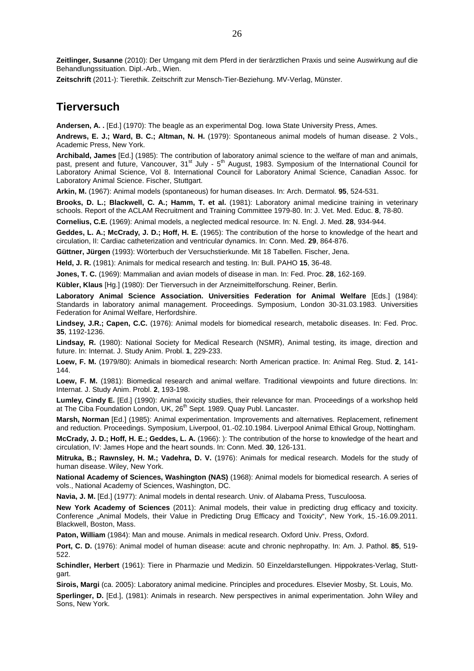**Zeitlinger, Susanne** (2010): Der Umgang mit dem Pferd in der tierärztlichen Praxis und seine Auswirkung auf die Behandlungssituation. Dipl.-Arb., Wien.

**Zeitschrift** (2011-): Tierethik. Zeitschrift zur Mensch-Tier-Beziehung. MV-Verlag, Münster.

#### **Tierversuch**

**Andersen, A. .** [Ed.] (1970): The beagle as an experimental Dog. Iowa State University Press, Ames.

**Andrews, E. J.; Ward, B. C.; Altman, N. H.** (1979): Spontaneous animal models of human disease. 2 Vols., Academic Press, New York.

**Archibald, James** [Ed.] (1985): The contribution of laboratory animal science to the welfare of man and animals, past, present and future, Vancouver, 31<sup>st</sup> July - 5<sup>th</sup> August, 1983. Symposium of the International Council for Laboratory Animal Science, Vol 8. International Council for Laboratory Animal Science, Canadian Assoc. for Laboratory Animal Science. Fischer, Stuttgart.

**Arkin, M.** (1967): Animal models (spontaneous) for human diseases. In: Arch. Dermatol. **95**, 524-531.

**Brooks, D. L.; Blackwell, C. A.; Hamm, T. et al.** (1981): Laboratory animal medicine training in veterinary schools. Report of the ACLAM Recruitment and Training Committee 1979-80. In: J. Vet. Med. Educ. **8**, 78-80.

**Cornelius, C.E.** (1969): Animal models, a neglected medical resource. In: N. Engl. J. Med. **28**, 934-944.

**Geddes, L. A.; McCrady, J. D.; Hoff, H. E.** (1965): The contribution of the horse to knowledge of the heart and circulation, II: Cardiac catheterization and ventricular dynamics. In: Conn. Med. **29**, 864-876.

**Güttner, Jürgen** (1993): Wörterbuch der Versuchstierkunde. Mit 18 Tabellen. Fischer, Jena.

**Held, J. R.** (1981): Animals for medical research and testing. In: Bull. PAHO **15**, 36-48.

**Jones, T. C.** (1969): Mammalian and avian models of disease in man. In: Fed. Proc. **28**, 162-169.

**Kübler, Klaus** [Hg.] (1980): Der Tierversuch in der Arzneimittelforschung. Reiner, Berlin.

**Laboratory Animal Science Association. Universities Federation for Animal Welfare** [Eds.] (1984): Standards in laboratory animal management. Proceedings. Symposium, London 30-31.03.1983. Universities Federation for Animal Welfare, Herfordshire.

**Lindsey, J.R.; Capen, C.C.** (1976): Animal models for biomedical research, metabolic diseases. In: Fed. Proc. **35**, 1192-1236.

Lindsay, R. (1980): National Society for Medical Research (NSMR), Animal testing, its image, direction and future. In: Internat. J. Study Anim. Probl. **1**, 229-233.

**Loew, F. M.** (1979/80): Animals in biomedical research: North American practice. In: Animal Reg. Stud. **2**, 141- 144.

**Loew, F. M.** (1981): Biomedical research and animal welfare. Traditional viewpoints and future directions. In: Internat. J. Study Anim. Probl. **2**, 193-198.

**Lumley, Cindy E.** [Ed.] (1990): Animal toxicity studies, their relevance for man. Proceedings of a workshop held at The Ciba Foundation London, UK, 26<sup>th</sup> Sept. 1989. Quay Publ. Lancaster.

**Marsh, Norman** [Ed.] (1985): Animal experimentation. Improvements and alternatives. Replacement, refinement and reduction. Proceedings. Symposium, Liverpool, 01.-02.10.1984. Liverpool Animal Ethical Group, Nottingham.

**McCrady, J. D.; Hoff, H. E.; Geddes, L. A.** (1966): ): The contribution of the horse to knowledge of the heart and circulation, IV: James Hope and the heart sounds. In: Conn. Med. **30**, 126-131.

**Mitruka, B.; Rawnsley, H. M.; Vadehra, D. V.** (1976): Animals for medical research. Models for the study of human disease. Wiley, New York.

**National Academy of Sciences, Washington (NAS)** (1968): Animal models for biomedical research. A series of vols., National Academy of Sciences, Washington, DC.

**Navia, J. M.** [Ed.] (1977): Animal models in dental research. Univ. of Alabama Press, Tusculoosa.

**New York Academy of Sciences** (2011): Animal models, their value in predicting drug efficacy and toxicity. Conference "Animal Models, their Value in Predicting Drug Efficacy and Toxicity", New York, 15.-16.09.2011. Blackwell, Boston, Mass.

Paton, William (1984): Man and mouse. Animals in medical research. Oxford Univ. Press, Oxford.

**Port, C. D.** (1976): Animal model of human disease: acute and chronic nephropathy. In: Am. J. Pathol. **85**, 519- 522.

**Schindler, Herbert** (1961): Tiere in Pharmazie und Medizin. 50 Einzeldarstellungen. Hippokrates-Verlag, Stuttgart.

**Sirois, Margi** (ca. 2005): Laboratory animal medicine. Principles and procedures. Elsevier Mosby, St. Louis, Mo.

**Sperlinger, D.** [Ed.], (1981): Animals in research. New perspectives in animal experimentation. John Wiley and Sons, New York.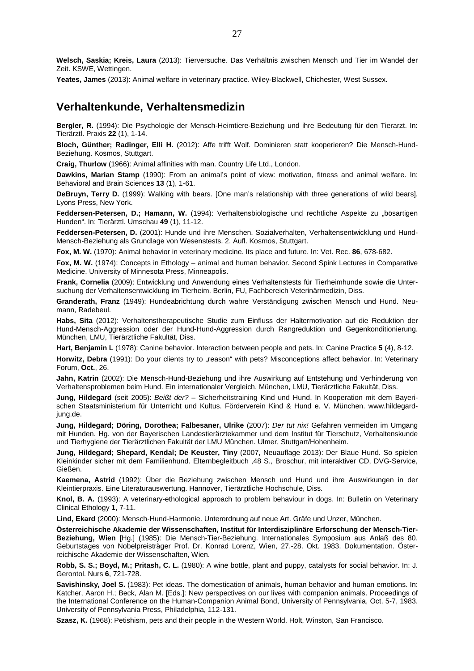**Welsch, Saskia; Kreis, Laura** (2013): Tierversuche. Das Verhältnis zwischen Mensch und Tier im Wandel der Zeit. KSWE, Wettingen.

**Yeates, James** (2013): Animal welfare in veterinary practice. Wiley-Blackwell, Chichester, West Sussex.

#### **Verhaltenkunde, Verhaltensmedizin**

**Bergler, R.** (1994): Die Psychologie der Mensch-Heimtiere-Beziehung und ihre Bedeutung für den Tierarzt. In: Tierärztl. Praxis **22** (1), 1-14.

**Bloch, Günther; Radinger, Elli H.** (2012): Affe trifft Wolf. Dominieren statt kooperieren? Die Mensch-Hund-Beziehung. Kosmos, Stuttgart.

**Craig, Thurlow** (1966): Animal affinities with man. Country Life Ltd., London.

**Dawkins, Marian Stamp** (1990): From an animal's point of view: motivation, fitness and animal welfare. In: Behavioral and Brain Sciences **13** (1), 1-61.

**DeBruyn, Terry D.** (1999): Walking with bears. [One man's relationship with three generations of wild bears]. Lyons Press, New York.

Feddersen-Petersen, D.; Hamann, W. (1994): Verhaltensbiologische und rechtliche Aspekte zu "bösartigen Hunden". In: Tierärztl. Umschau **49** (1), 11-12.

**Feddersen-Petersen, D.** (2001): Hunde und ihre Menschen. Sozialverhalten, Verhaltensentwicklung und Hund-Mensch-Beziehung als Grundlage von Wesenstests. 2. Aufl. Kosmos, Stuttgart.

**Fox, M. W.** (1970): Animal behavior in veterinary medicine. Its place and future. In: Vet. Rec. **86**, 678-682.

**Fox, M. W.** (1974): Concepts in Ethology – animal and human behavior. Second Spink Lectures in Comparative Medicine. University of Minnesota Press, Minneapolis.

**Frank, Cornelia** (2009): Entwicklung und Anwendung eines Verhaltenstests für Tierheimhunde sowie die Untersuchung der Verhaltensentwicklung im Tierheim. Berlin, FU, Fachbereich Veterinärmedizin, Diss.

**Granderath, Franz** (1949): Hundeabrichtung durch wahre Verständigung zwischen Mensch und Hund. Neumann, Radebeul.

**Habs, Sita** (2012): Verhaltenstherapeutische Studie zum Einfluss der Haltermotivation auf die Reduktion der Hund-Mensch-Aggression oder der Hund-Hund-Aggression durch Rangreduktion und Gegenkonditionierung. München, LMU, Tierärztliche Fakultät, Diss.

**Hart, Benjamin L** (1978): Canine behavior. Interaction between people and pets. In: Canine Practice **5** (4), 8-12.

Horwitz, Debra (1991): Do your clients try to "reason" with pets? Misconceptions affect behavior. In: Veterinary Forum, **Oct.**, 26.

**Jahn, Katrin** (2002): Die Mensch-Hund-Beziehung und ihre Auswirkung auf Entstehung und Verhinderung von Verhaltensproblemen beim Hund. Ein internationaler Vergleich. München, LMU, Tierärztliche Fakultät, Diss.

**Jung, Hildegard** (seit 2005): Beißt der? – Sicherheitstraining Kind und Hund. In Kooperation mit dem Bayerischen Staatsministerium für Unterricht und Kultus. Förderverein Kind & Hund e. V. München. www.hildegardjung.de.

**Jung, Hildegard; Döring, Dorothea; Falbesaner, Ulrike** (2007): Der tut nix! Gefahren vermeiden im Umgang mit Hunden. Hg. von der Bayerischen Landestierärztekammer und dem Institut für Tierschutz, Verhaltenskunde und Tierhygiene der Tierärztlichen Fakultät der LMU München. Ulmer, Stuttgart/Hohenheim.

**Jung, Hildegard; Shepard, Kendal; De Keuster, Tiny** (2007, Neuauflage 2013): Der Blaue Hund. So spielen Kleinkinder sicher mit dem Familienhund. Elternbegleitbuch ,48 S., Broschur, mit interaktiver CD, DVG-Service, Gießen.

**Kaemena, Astrid** (1992): Über die Beziehung zwischen Mensch und Hund und ihre Auswirkungen in der Kleintierpraxis. Eine Literaturauswertung. Hannover, Tierärztliche Hochschule, Diss.

**Knol, B. A.** (1993): A veterinary-ethological approach to problem behaviour in dogs. In: Bulletin on Veterinary Clinical Ethology **1**, 7-11.

**Lind, Ekard** (2000): Mensch-Hund-Harmonie. Unterordnung auf neue Art. Gräfe und Unzer, München.

**Österreichische Akademie der Wissenschaften, Institut für Interdisziplinäre Erforschung der Mensch-Tier-Beziehung, Wien** [Hg.] (1985): Die Mensch-Tier-Beziehung. Internationales Symposium aus Anlaß des 80. Geburtstages von Nobelpreisträger Prof. Dr. Konrad Lorenz, Wien, 27.-28. Okt. 1983. Dokumentation. Österreichische Akademie der Wissenschaften, Wien.

**Robb, S. S.; Boyd, M.; Pritash, C. L.** (1980): A wine bottle, plant and puppy, catalysts for social behavior. In: J. Gerontol. Nurs **6**, 721-728.

**Savishinsky, Joel S.** (1983): Pet ideas. The domestication of animals, human behavior and human emotions. In: Katcher, Aaron H.; Beck, Alan M. [Eds.]: New perspectives on our lives with companion animals. Proceedings of the International Conference on the Human-Companion Animal Bond, University of Pennsylvania, Oct. 5-7, 1983. University of Pennsylvania Press, Philadelphia, 112-131.

**Szasz, K.** (1968): Petishism, pets and their people in the Western World. Holt, Winston, San Francisco.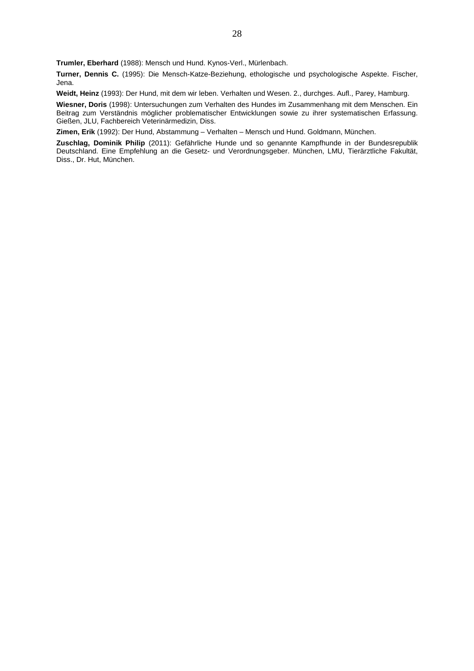**Trumler, Eberhard** (1988): Mensch und Hund. Kynos-Verl., Mürlenbach.

**Turner, Dennis C.** (1995): Die Mensch-Katze-Beziehung, ethologische und psychologische Aspekte. Fischer, Jena.

**Weidt, Heinz** (1993): Der Hund, mit dem wir leben. Verhalten und Wesen. 2., durchges. Aufl., Parey, Hamburg.

**Wiesner, Doris** (1998): Untersuchungen zum Verhalten des Hundes im Zusammenhang mit dem Menschen. Ein Beitrag zum Verständnis möglicher problematischer Entwicklungen sowie zu ihrer systematischen Erfassung. Gießen, JLU, Fachbereich Veterinärmedizin, Diss.

**Zimen, Erik** (1992): Der Hund, Abstammung – Verhalten – Mensch und Hund. Goldmann, München.

**Zuschlag, Dominik Philip** (2011): Gefährliche Hunde und so genannte Kampfhunde in der Bundesrepublik Deutschland. Eine Empfehlung an die Gesetz- und Verordnungsgeber. München, LMU, Tierärztliche Fakultät, Diss., Dr. Hut, München.